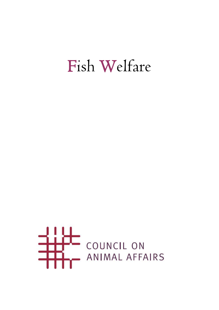# Fish Welfare

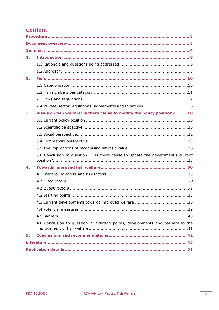# **Content**

| 1. |                                                                                 |  |  |  |  |  |
|----|---------------------------------------------------------------------------------|--|--|--|--|--|
|    |                                                                                 |  |  |  |  |  |
|    |                                                                                 |  |  |  |  |  |
| 2. |                                                                                 |  |  |  |  |  |
|    |                                                                                 |  |  |  |  |  |
|    |                                                                                 |  |  |  |  |  |
|    |                                                                                 |  |  |  |  |  |
|    | 2.4 Private-sector regulations, agreements and initiatives 16                   |  |  |  |  |  |
| 3. | Views on fish welfare: is there cause to modify the policy position?  18        |  |  |  |  |  |
|    |                                                                                 |  |  |  |  |  |
|    |                                                                                 |  |  |  |  |  |
|    |                                                                                 |  |  |  |  |  |
|    |                                                                                 |  |  |  |  |  |
|    |                                                                                 |  |  |  |  |  |
|    | 3.6 Conclusion to question 1: Is there cause to update the government's current |  |  |  |  |  |
| 4. |                                                                                 |  |  |  |  |  |
|    |                                                                                 |  |  |  |  |  |
|    |                                                                                 |  |  |  |  |  |
|    |                                                                                 |  |  |  |  |  |
|    |                                                                                 |  |  |  |  |  |
|    |                                                                                 |  |  |  |  |  |
|    |                                                                                 |  |  |  |  |  |
|    |                                                                                 |  |  |  |  |  |
|    | 4.6 Conclusion to question 2: Starting points, developments and barriers to the |  |  |  |  |  |
| 5. |                                                                                 |  |  |  |  |  |
|    |                                                                                 |  |  |  |  |  |
|    |                                                                                 |  |  |  |  |  |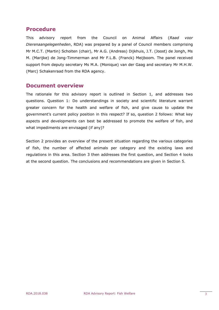# <span id="page-2-0"></span>**Procedure**

This advisory report from the Council on Animal Affairs (*Raad voor Dierenaangelegenheden*, RDA) was prepared by a panel of Council members comprising Mr M.C.T. (Martin) Scholten (chair), Mr A.G. (Andreas) Dijkhuis, J.T. (Joost) de Jongh, Ms M. (Marijke) de Jong-Timmerman and Mr F.L.B. (Franck) Meijboom. The panel received support from deputy secretary Ms M.A. (Monique) van der Gaag and secretary Mr M.H.W. (Marc) Schakenraad from the RDA agency.

## <span id="page-2-1"></span>**Document overview**

The rationale for this advisory report is outlined in Section 1, and addresses two questions. Question 1: Do understandings in society and scientific literature warrant greater concern for the health and welfare of fish, and give cause to update the government's current policy position in this respect? If so, question 2 follows: What key aspects and developments can best be addressed to promote the welfare of fish, and what impediments are envisaged (if any)?

Section 2 provides an overview of the present situation regarding the various categories of fish, the number of affected animals per category and the existing laws and regulations in this area. Section 3 then addresses the first question, and Section 4 looks at the second question. The conclusions and recommendations are given in Section 5.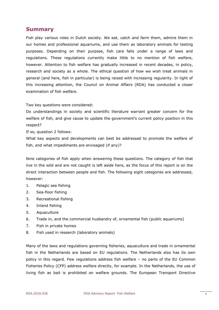## <span id="page-3-0"></span>**Summary**

Fish play various roles in Dutch society. We eat, catch and farm them, admire them in our homes and professional aquariums, and use them as laboratory animals for testing purposes. Depending on their purpose, fish care falls under a range of laws and regulations. These regulations currently make little to no mention of fish welfare, however. Attention to fish welfare has gradually increased in recent decades, in policy, research and society as a whole. The ethical question of how we wish treat animals in general (and here, fish in particular) is being raised with increasing regularity. In light of this increasing attention, the Council on Animal Affairs (RDA) has conducted a closer examination of fish welfare.

Two key questions were considered:

Do understandings in society and scientific literature warrant greater concern for the welfare of fish, and give cause to update the government's current policy position in this respect?

If so, question 2 follows:

What key aspects and developments can best be addressed to promote the welfare of fish, and what impediments are envisaged (if any)?

Nine categories of fish apply when answering these questions. The category of fish that live in the wild and are not caught is left aside here, as the focus of this report is on the direct interaction between people and fish. The following eight categories are addressed, however:

- 1. Pelagic sea fishing
- 2. Sea-floor fishing
- 3. Recreational fishing
- 4. Inland fishing
- 5. Aquaculture
- 6. Trade in, and the commercial husbandry of, ornamental fish (public aquariums)
- 7. Fish in private homes
- 8. Fish used in research (laboratory animals)

Many of the laws and regulations governing fisheries, aquaculture and trade in ornamental fish in the Netherlands are based on EU regulations. The Netherlands also has its own policy in this regard. Few regulations address fish welfare – no parts of the EU Common Fisheries Policy (CFP) address welfare directly, for example. In the Netherlands, the use of living fish as bait is prohibited on welfare grounds. The European Transport Directive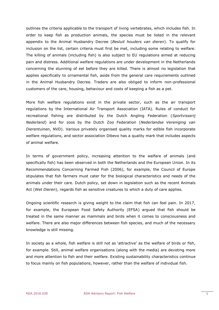outlines the criteria applicable to the transport of living vertebrates, which includes fish. In order to keep fish as production animals, the species must be listed in the relevant appendix to the Animal Husbandry Decree (*Besluit houders van dieren*). To qualify for inclusion on the list, certain criteria must first be met, including some relating to welfare. The killing of animals (including fish) is also subject to EU regulations aimed at reducing pain and distress. Additional welfare regulations are under development in the Netherlands concerning the stunning of eel before they are killed. There is almost no legislation that applies specifically to ornamental fish, aside from the general care requirements outlined in the Animal Husbandry Decree. Traders are also obliged to inform non-professional customers of the care, housing, behaviour and costs of keeping a fish as a pet.

More fish welfare regulations exist in the private sector, such as the air transport regulations by the International Air Transport Association (IATA). Rules of conduct for recreational fishing are distributed by the Dutch Angling Federation (*Sportvisserij Nederland*) and for zoos by the Dutch Zoo Federation (*Nederlandse Vereniging van Dierentuinen*, NVD). Various privately organised quality marks for edible fish incorporate welfare regulations, and sector association Dibevo has a quality mark that includes aspects of animal welfare.

In terms of government policy, increasing attention to the welfare of animals (and specifically fish) has been observed in both the Netherlands and the European Union. In its Recommendations Concerning Farmed Fish (2006), for example, the Council of Europe stipulates that fish farmers must cater for the biological characteristics and needs of the animals under their care. Dutch policy, set down in legislation such as the recent Animals Act (*Wet Dieren*), regards fish as sensitive creatures to which a duty of care applies.

Ongoing scientific research is giving weight to the claim that fish can feel pain. In 2017, for example, the European Food Safety Authority (EFSA) argued that fish should be treated in the same manner as mammals and birds when it comes to consciousness and welfare. There are also major differences between fish species, and much of the necessary knowledge is still missing.

In society as a whole, fish welfare is still not as 'attractive' as the welfare of birds or fish, for example. Still, animal welfare organisations (along with the media) are devoting more and more attention to fish and their welfare. Existing sustainability characteristics continue to focus mainly on fish populations, however, rather than the welfare of individual fish.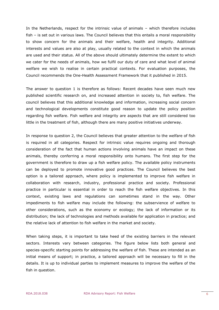In the Netherlands, respect for the intrinsic value of animals – which therefore includes fish – is set out in various laws. The Council believes that this entails a moral responsibility to show concern for the animals and their welfare, health and integrity. Additional interests and values are also at play, usually related to the context in which the animals are used and their status. All of the above should ultimately determine the extent to which we cater for the needs of animals, how we fulfil our duty of care and what level of animal welfare we wish to realise in certain practical contexts. For evaluation purposes, the Council recommends the One-Health Assessment Framework that it published in 2015.

The answer to question 1 is therefore as follows: Recent decades have seen much new published scientific research on, and increased attention in society to, fish welfare. The council believes that this additional knowledge and information, increasing social concern and technological developments constitute good reason to update the policy position regarding fish welfare. Fish welfare and integrity are aspects that are still considered too little in the treatment of fish, although there are many positive initiatives underway.

In response to question 2, the Council believes that greater attention to the welfare of fish is required in all categories. Respect for intrinsic value requires ongoing and thorough consideration of the fact that human actions involving animals have an impact on these animals, thereby conferring a moral responsibility onto humans. The first step for the government is therefore to draw up a fish welfare policy. The available policy instruments can be deployed to promote innovative good practices. The Council believes the best option is a tailored approach, where policy is implemented to improve fish welfare in collaboration with research, industry, professional practice and society. Professional practice in particular is essential in order to reach the fish welfare objectives. In this context, existing laws and regulations can sometimes stand in the way. Other impediments to fish welfare may include the following: the subservience of welfare to other considerations, such as the economy or ecology; the lack of information or its distribution; the lack of technologies and methods available for application in practice; and the relative lack of attention to fish welfare in the market and society.

When taking steps, it is important to take heed of the existing barriers in the relevant sectors. Interests vary between categories. The figure below lists both general and species-specific starting points for addressing the welfare of fish. These are intended as an initial means of support; in practice, a tailored approach will be necessary to fill in the details. It is up to individual parties to implement measures to improve the welfare of the fish in question.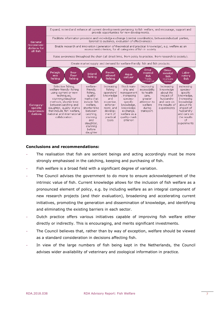

#### **Conclusions and recommendations:**

- The realisation that fish are sentient beings and acting accordingly must be more strongly emphasised in the catching, keeping and purchasing of fish.
- Fish welfare is a broad field with a significant degree of variation.
- The Council advises the government to do more to ensure acknowledgement of the intrinsic value of fish. Current knowledge allows for the inclusion of fish welfare as a pronounced element of policy, e.g. by including welfare as an integral component of new research projects (and their evaluation), broadening and accelerating current initiatives, promoting the generation and dissemination of knowledge, and identifying and eliminating the existing barriers in each sector.
- Dutch practice offers various initiatives capable of improving fish welfare either directly or indirectly. This is encouraging, and merits significant investments.
- The Council believes that, rather than by way of exception, welfare should be viewed as a standard consideration in decisions affecting fish.
- In view of the large numbers of fish being kept in the Netherlands, the Council advises wider availability of veterinary and zoological information in practice.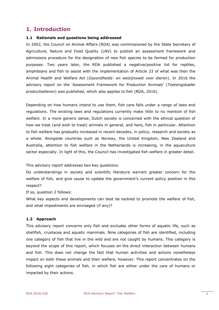# <span id="page-7-0"></span>**1. Introduction**

#### <span id="page-7-1"></span>**1.1 Rationale and questions being addressed**

In 2002, the Council on Animal Affairs (RDA) was commissioned by the State Secretary of Agriculture, Nature and Food Quality (LNV) to publish an assessment framework and admissions procedure for the designation of new fish species to be farmed for production purposes. Two years later, the RDA published a negative/positive list for reptiles, amphibians and fish to assist with the implementation of Article 33 of what was then the Animal Health and Welfare Act (*Gezondheids- en welzijnswet voor dieren*). In 2016 the advisory report on the 'Assessment Framework for Production Animals' (*Toetsingskader productiedieren*) was published, which also applies to fish (RDA, 2016).

Depending on how humans intend to use them, fish care falls under a range of laws and regulations. The existing laws and regulations currently make little to no mention of fish welfare. In a more generic sense, Dutch society is concerned with the ethical question of how we treat (and wish to treat) animals in general, and here, fish in particular. Attention to fish welfare has gradually increased in recent decades, in policy, research and society as a whole. Alongside countries such as Norway, the United Kingdom, New Zealand and Australia, attention to fish welfare in the Netherlands is increasing, in the aquaculture sector especially. In light of this, the Council has investigated fish welfare in greater detail.

This advisory report addresses two key questions:

Do understandings in society and scientific literature warrant greater concern for the welfare of fish, and give cause to update the government's current policy position in this respect?

If so, question 2 follows:

What key aspects and developments can best be tackled to promote the welfare of fish, and what impediments are envisaged (if any)?

#### <span id="page-7-2"></span>**1.2 Approach**

This advisory report concerns only fish and excludes other forms of aquatic life, such as shellfish, crustacea and aquatic mammals. Nine categories of fish are identified, including one category of fish that live in the wild and are not caught by humans. This category is beyond the scope of this report, which focuses on the direct interaction between humans and fish. This does not change the fact that human activities and actions nonetheless impact on both these animals and their welfare, however. This report concentrates on the following eight categories of fish, in which fish are either under the care of humans or impacted by their actions.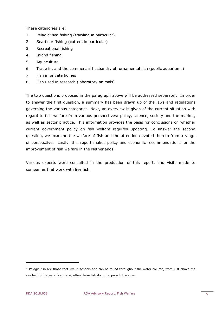These categories are:

- 1. Pelagic<sup>1</sup> sea fishing (trawling in particular)
- 2. Sea-floor fishing (cutters in particular)
- 3. Recreational fishing
- 4. Inland fishing
- 5. Aquaculture
- 6. Trade in, and the commercial husbandry of, ornamental fish (public aquariums)
- 7. Fish in private homes
- 8. Fish used in research (laboratory animals)

The two questions proposed in the paragraph above will be addressed separately. In order to answer the first question, a summary has been drawn up of the laws and regulations governing the various categories. Next, an overview is given of the current situation with regard to fish welfare from various perspectives: policy, science, society and the market, as well as sector practice. This information provides the basis for conclusions on whether current government policy on fish welfare requires updating. To answer the second question, we examine the welfare of fish and the attention devoted thereto from a range of perspectives. Lastly, this report makes policy and economic recommendations for the improvement of fish welfare in the Netherlands.

Various experts were consulted in the production of this report, and visits made to companies that work with live fish.

-

 $<sup>1</sup>$  Pelagic fish are those that live in schools and can be found throughout the water column, from just above the</sup> sea bed to the water's surface; often these fish do not approach the coast.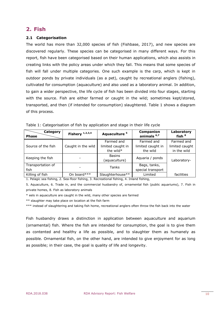# <span id="page-9-0"></span>**2. Fish**

#### <span id="page-9-1"></span>**2.1 Categorisation**

The world has more than 32,000 species of fish (Fishbase, 2017), and new species are discovered regularly. These species can be categorised in many different ways. For this report, fish have been categorised based on their human applications, which also assists in creating links with the policy areas under which they fall. This means that some species of fish will fall under multiple categories. One such example is the carp, which is kept in outdoor ponds by private individuals (as a pet), caught by recreational anglers (fishing), cultivated for consumption (aquaculture) and also used as a laboratory animal. In addition, to gain a wider perspective, the life cycle of fish has been divided into four stages, starting with the source. Fish are either farmed or caught in the wild; sometimes kept/stored, transported, and then (if intended for consumption) slaughtered. Table 1 shows a diagram of this process.

| Category<br><b>Phase</b> | Fishery $1,2,3,4$  | Aquaculture <sup>5</sup> | Companion<br>animals <sup>6,7</sup> | Laboratory<br>fish <sup>8</sup> |
|--------------------------|--------------------|--------------------------|-------------------------------------|---------------------------------|
|                          |                    | Farmed and               | Farmed and                          | Farmed and                      |
| Source of the fish       | Caught in the wild | limited caught in        | limited caught in                   | limited caught                  |
|                          |                    | the wild*                | the wild                            | in the wild                     |
| Keeping the fish         |                    | <b>Basins</b>            | Aquaria / ponds                     |                                 |
|                          |                    | (aquaculture)            |                                     | Laboratory-                     |
| Transportation of        |                    | Tanks                    | Bags, tanks,                        |                                 |
| fish                     |                    |                          | special transport                   |                                 |
| Killing of fish          | On board***        | Slaughterhouse**         | Limited                             | facilities                      |

Table 1: Categorisation of fish by application and stage in their life cycle

1. Pelagic sea fishing, 2. Sea-floor fishing, 3. Recreational fishing, 4. Inland fishing,

5. Aquaculture, 6. Trade in, and the commercial husbandry of, ornamental fish (public aquariums), 7. Fish in private homes, 8. Fish as laboratory animals

\* eels in aquaculture are caught in the wild, many other species are farmed

\*\* slaughter may take place on location at the fish farm

\*\*\* instead of slaughtering and taking fish home, recreational anglers often throw the fish back into the water

Fish husbandry draws a distinction in application between aquaculture and aquarium (ornamental) fish. Where the fish are intended for consumption, the goal is to give them as contented and healthy a life as possible, and to slaughter them as humanely as possible. Ornamental fish, on the other hand, are intended to give enjoyment for as long as possible; in their case, the goal is quality of life and longevity.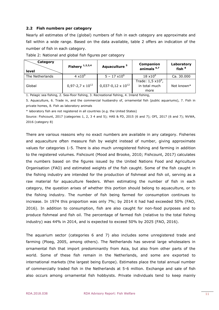#### <span id="page-10-0"></span>**2.2 Fish numbers per category**

Nearly all estimates of the (global) numbers of fish in each category are approximate and fall within a wide range. Based on the data available, table 2 offers an indication of the number of fish in each category.

| Category<br>level | Fishery $1,2,3,4$         | Aquaculture <sup>5</sup>    | Companion<br>animals <sup>6,7</sup>                 | Laboratory<br>fish <sup>8</sup> |
|-------------------|---------------------------|-----------------------------|-----------------------------------------------------|---------------------------------|
| The Netherlands   | $4 \times 10^9$           | $5 - 17 \times 10^6$        | $18 \times 10^{6}$                                  | Ca. 30.000                      |
| Global            | $0,97-2,7 \times 10^{12}$ | $0,037-0,12 \times 10^{12}$ | Trade: $1,5 \times 10^9$ ,<br>in total much<br>more | Not known*                      |

Table 2: National and global fish figures per category

1. Pelagic sea fishing, 2. Sea-floor fishing, 3. Recreational fishing, 4. Inland fishing,

5. Aquaculture, 6. Trade in, and the commercial husbandry of, ornamental fish (public aquariums), 7. Fish in private homes, 8. Fish as laboratory animals

\* laboratory fish are not registered in all countries (e.g. the United States)

Source: Fishcount, 2017 (categories 1, 2, 3 4 and 5); HAS & FD, 2015 (6 and 7); OFI, 2017 (6 and 7); NVWA, 2016 (category 8)

There are various reasons why no exact numbers are available in any category. Fisheries and aquaculture often measure fish by weight instead of number, giving approximate values for categories 1-5. There is also much unregistered fishing and farming in addition to the registered volumes. Fishcount (Mood and Brooke, 2010; Fishcount, 2017) calculates the numbers based on the figures issued by the United Nations Food and Agriculture Organisation (FAO) and estimated weights of the fish caught. Some of the fish caught in the fishing industry are intended for the production of fishmeal and fish oil, serving as a raw material for aquaculture feeders. When estimating the number of fish in each category, the question arises of whether this portion should belong to aquaculture, or to the fishing industry. The number of fish being farmed for consumption continues to increase. In 1974 this proportion was only 7%; by 2014 it had had exceeded 50% (FAO, 2016). In addition to consumption, fish are also caught for non-food purposes and to produce fishmeal and fish oil. The percentage of farmed fish (relative to the total fishing industry) was 44% in 2014, and is expected to exceed 50% by 2025 (FAO, 2016).

The aquarium sector (categories 6 and 7) also includes some unregistered trade and farming (Ploeg, 2005, among others). The Netherlands has several large wholesalers in ornamental fish that import predominantly from Asia, but also from other parts of the world. Some of these fish remain in the Netherlands, and some are exported to international markets (the largest being Europe). Estimates place the total annual number of commercially traded fish in the Netherlands at 5-6 million. Exchange and sale of fish also occurs among ornamental fish hobbyists. Private individuals tend to keep mainly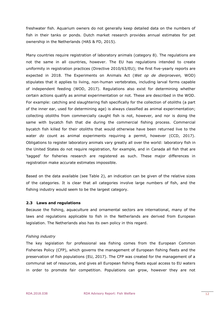freshwater fish. Aquarium owners do not generally keep detailed data on the numbers of fish in their tanks or ponds. Dutch market research provides annual estimates for pet ownership in the Netherlands (HAS & FD, 2015).

Many countries require registration of laboratory animals (category 8). The regulations are not the same in all countries, however. The EU has regulations intended to create uniformity in registration practices (Directive 2010/63/EU); the first five-yearly reports are expected in 2018. The Experiments on Animals Act (*Wet op de dierproeven,* WOD) stipulates that it applies to living, non-human vertebrates, including larval forms capable of independent feeding (WOD, 2017). Regulations also exist for determining whether certain actions qualify as animal experimentation or not. These are described in the WOD. For example: catching and slaughtering fish specifically for the collection of otoliths (a part of the inner ear, used for determining age) is always classified as animal experimentation; collecting otoliths from commercially caught fish is not, however, and nor is doing the same with bycatch fish that die during the commercial fishing process. Commercial bycatch fish killed for their otoliths that would otherwise have been returned live to the water *do* count as animal experiments requiring a permit, however (CCD, 2017). Obligations to register laboratory animals vary greatly all over the world: laboratory fish in the United States do not require registration, for example, and in Canada all fish that are 'tagged' for fisheries research are registered as such. These major differences in registration make accurate estimates impossible.

Based on the data available (see Table 2), an indication can be given of the relative sizes of the categories. It is clear that all categories involve large numbers of fish, and the fishing industry would seem to be the largest category.

#### <span id="page-11-0"></span>**2.3 Laws and regulations**

Because the fishing, aquaculture and ornamental sectors are international, many of the laws and regulations applicable to fish in the Netherlands are derived from European legislation. The Netherlands also has its own policy in this regard.

#### *Fishing industry*

The key legislation for professional sea fishing comes from the European Common Fisheries Policy (CFP), which governs the management of European fishing fleets and the preservation of fish populations (EU, 2017). The CFP was created for the management of a communal set of resources, and gives all European fishing fleets equal access to EU waters in order to promote fair competition. Populations can grow, however they are not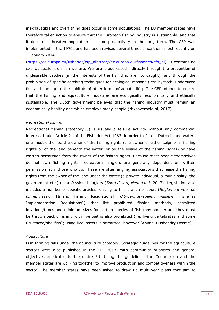inexhaustible and overfishing does occur in some populations. The EU member states have therefore taken action to ensure that the European fishing industry is sustainable, and that it does not threaten population sizes or productivity in the long term. The CFP was implemented in the 1970s and has been revised several times since then, most recently on 1 January 2014

[\(https://ec.europa.eu/fisheries/cfp\\_nlh](https://ec.europa.eu/fisheries/cfp_nl)ttps://ec.europa.eu/fisheries/cfp\_nl). It contains no explicit sections on fish welfare. Welfare is addressed indirectly through the prevention of undesirable catches (in the interests of the fish that are not caught), and through the prohibition of specific catching techniques for ecological reasons (less bycatch, undersized fish and damage to the habitats of other forms of aquatic life). The CFP intends to ensure that the fishing and aquaculture industries are ecologically, economically and ethically sustainable. The Dutch government believes that the fishing industry must remain an economically healthy one which employs many people (rijksoverheid.nl, 2017).

#### *Recreational fishing*

Recreational fishing (category 3) is usually a leisure activity without any commercial interest. Under Article 21 of the Fisheries Act 1963, in order to fish in Dutch inland waters one must either be the owner of the fishing rights (the owner of either seigniorial fishing rights or of the land beneath the water, or be the lessee of the fishing rights) or have written permission from the owner of the fishing rights. Because most people themselves do not own fishing rights, recreational anglers are generally dependent on written permission from those who do. These are often angling associations that lease the fishing rights from the owner of the land under the water (a private individual, a municipality, the government etc.) or professional anglers (*Sportvisserij Nederland*, 2017). Legislation also includes a number of specific articles relating to this branch of sport (*Reglement voor de binnenvisserij* [Inland Fishing Regulations], *Uitvoeringsregeling visserij* [Fisheries Implementation Regulations]) that list prohibited fishing methods, permitted locations/times and minimum sizes for certain species of fish (any smaller and they must be thrown back). Fishing with live bait is also prohibited (i.e. living vertebrates and some Crustacea/shellfish); using live insects is permitted, however (Animal Husbandry Decree).

#### *Aquaculture*

Fish farming falls under the aquaculture category. Strategic guidelines for the aquaculture sectors were also published in the CFP 2013, with community priorities and general objectives applicable to the entire EU. Using the guidelines, the Commission and the member states are working together to improve production and competitiveness within the sector. The member states have been asked to draw up multi-year plans that aim to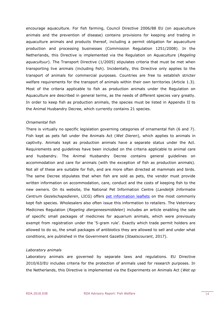encourage aquaculture. For fish farming, Council Directive 2006/88 EU (on aquaculture animals and the prevention of disease) contains provisions for keeping and trading in aquaculture animals and products thereof, including a permit obligation for aquaculture production and processing businesses (Commission Regulation 1251/2008). In the Netherlands, this Directive is implemented via the Regulation on Aquaculture (*Regeling aquacultuur*). The Transport Directive (1/2005) stipulates criteria that must be met when transporting live animals (including fish). Incidentally, this Directive only applies to the transport of animals for commercial purposes. Countries are free to establish stricter welfare requirements for the transport of animals within their own territories (Article 1.3). Most of the criteria applicable to fish as production animals under the Regulation on Aquaculture are described in general terms, as the needs of different species vary greatly. In order to keep fish as production animals, the species must be listed in Appendix II to the Animal Husbandry Decree, which currently contains 21 species.

#### *Ornamental fish*

There is virtually no specific legislation governing categories of ornamental fish (6 and 7). Fish kept as pets fall under the Animals Act (*Wet Dieren*), which applies to animals in captivity. Animals kept as production animals have a separate status under the Act. Requirements and guidelines have been included on the criteria applicable to animal care and husbandry. The Animal Husbandry Decree contains general guidelines on accommodation and care for animals (with the exception of fish as production animals). Not all of these are suitable for fish, and are more often directed at mammals and birds. The same Decree stipulates that when fish are sold as pets, the vendor must provide written information on accommodation, care, conduct and the costs of keeping fish to the new owners. On its website, the National Pet Information Centre (*Landelijk Informatie Centrum Gezelschapsdieren*, LICG) offers [pet information leaflets](https://www.licg.nl/kv/dieren/vissen) on the most commonly kept fish species. Wholesalers also often issue this information to retailers. The Veterinary Medicines Regulation (*Regeling diergeneesmiddelen*) includes an article enabling the sale of specific small packages of medicines for aquarium animals, which were previously exempt from registration under the '5-gram rule'. Exactly which trade permit holders are allowed to do so, the small packages of antibiotics they are allowed to sell and under what conditions, are published in the Government Gazette (*Staatscourant*, 2017).

#### *Laboratory animals*

Laboratory animals are governed by separate laws and regulations. EU Directive 2010/63/EU includes criteria for the protection of animals used for research purposes. In the Netherlands, this Directive is implemented via the Experiments on Animals Act (*Wet op*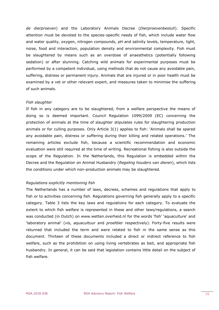*de dierproeven*) and the Laboratory Animals Decree (*Dierproevenbesluit*). Specific attention must be devoted to the species-specific needs of fish, which include water flow and water quality, oxygen, nitrogen compounds, pH and salinity levels, temperature, light, noise, food and interaction, population density and environmental complexity. Fish must be slaughtered by means such as an overdose of anaesthetics (potentially following sedation) or after stunning. Catching wild animals for experimental purposes must be performed by a competent individual, using methods that do not cause any avoidable pain, suffering, distress or permanent injury. Animals that are injured or in poor health must be examined by a vet or other relevant expert, and measures taken to minimise the suffering of such animals.

#### *Fish slaughter*

If fish in any category are to be slaughtered, from a welfare perspective the means of doing so is deemed important. Council Regulation 1099/2009 (EC) concerning the protection of animals at the time of slaughter stipulates rules for slaughtering production animals or for culling purposes. Only Article 3(1) applies to fish: 'Animals shall be spared any avoidable pain, distress or suffering during their killing and related operations.' The remaining articles exclude fish, because a scientific recommendation and economic evaluation were still required at the time of writing. Recreational fishing is also outside the scope of the Regulation. In the Netherlands, this Regulation is embedded within the Decree and the Regulation on Animal Husbandry (*Regeling houders van dieren*), which lists the conditions under which non-production animals may be slaughtered.

#### *Regulations explicitly mentioning fish*

The Netherlands has a number of laws, decrees, schemes and regulations that apply to fish or to activities concerning fish. Regulations governing fish generally apply to a specific category. Table 3 lists the key laws and regulations for each category. To evaluate the extent to which fish welfare is represented in these and other laws/regulations, a search was conducted (in Dutch) on www.wetten.overheid.nl for the words 'fish' 'aquaculture' and 'laboratory animal' (*vis*, *aquacultuur* and *proefdier* respectively). Forty-five results were returned that included the term and were related to fish in the same sense as this document. Thirteen of these documents included a direct or indirect reference to fish welfare, such as the prohibition on using living vertebrates as bait, and appropriate fish husbandry. In general, it can be said that legislation contains little detail on the subject of fish welfare.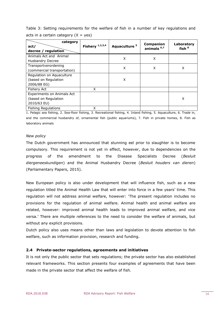| category<br>act/<br>decree / regulation                           | Fishery $1,2,3,4$ | Aquaculture <sup>5</sup> | Companion<br>animals <sup>6,7</sup> | Laboratory<br>fish $8$ |
|-------------------------------------------------------------------|-------------------|--------------------------|-------------------------------------|------------------------|
| Animals Act and Animal<br><b>Husbandry Decree</b>                 |                   | X                        | X                                   |                        |
| Transportverordening<br>(commercial transportation)               |                   | X                        | X                                   | X                      |
| Regulation on Aquaculture<br>(based on Regulation<br>2006/88 EG)  |                   | X                        |                                     |                        |
| Fishery Act                                                       | X                 |                          |                                     |                        |
| Experiments on Animals Act<br>(based on Regulation<br>2010/63 EU) |                   |                          |                                     | X                      |
| <b>Fishing Regulations</b>                                        | X                 |                          |                                     |                        |

Table 3: Setting requirements for the welfare of fish in a number of key regulations and acts in a certain category  $(X = yes)$ 

1. Pelagic sea fishing, 2. Sea-floor fishing, 3. Recreational fishing, 4. Inland fishing, 5. Aquaculture, 6. Trade in, and the commercial husbandry of, ornamental fish (public aquariums), 7. Fish in private homes, 8. Fish as laboratory animals

#### *New policy*

The Dutch government has announced that stunning eel prior to slaughter is to become compulsory. This requirement is not yet in effect, however, due to dependencies on the progress of the amendment to the Disease Specialists Decree (*Besluit diergeneeskundigen*) and the Animal Husbandry Decree (*Besluit houders van dieren*) (Parliamentary Papers, 2015).

New European policy is also under development that will influence fish, such as a new regulation titled the Animal Health Law that will enter into force in a few years' time. This regulation will not address animal welfare, however: 'The present regulation includes no provisions for the regulation of animal welfare. Animal health and animal welfare are related, however: improved animal health leads to improved animal welfare, and vice versa.' There are multiple references to the need to consider the welfare of animals, but without any explicit provisions.

Dutch policy also uses means other than laws and legislation to devote attention to fish welfare, such as information provision, research and funding.

#### <span id="page-15-0"></span>**2.4 Private-sector regulations, agreements and initiatives**

It is not only the public sector that sets regulations; the private sector has also established relevant frameworks. This section presents four examples of agreements that have been made in the private sector that affect the welfare of fish.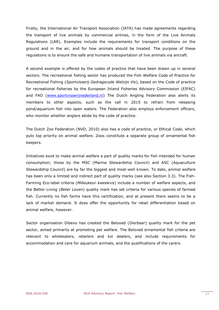Firstly, the International Air Transport Association (IATA) has made agreements regarding the transport of live animals by commercial airlines, in the form of the Live Animals Regulations (LAR). Examples include the requirements for transport conditions on the ground and in the air, and for how animals should be treated. The purpose of these regulations is to ensure the safe and humane transportation of live animals via aircraft.

A second example is offered by the codes of practice that have been drawn up in several sectors. The recreational fishing sector has produced the Fish Welfare Code of Practice for Recreational Fishing (*Sportvisserij Gedragscode Welzijn Vis*), based on the Code of practice for recreational fisheries by the European Inland Fisheries Advisory Commission (EIFAC) and FAO [\(www.sportvisserijnederland.nl\)](http://www.sportvisserijnederland.nl/) The Dutch Angling Federation also alerts its members to other aspects, such as the call in 2015 to refrain from releasing pond/aquarium fish into open waters. The Federation also employs enforcement officers, who monitor whether anglers abide by the code of practice.

The Dutch Zoo Federation (NVD, 2010) also has a code of practice, or Ethical Code, which puts top priority on animal welfare. Zoos constitute a separate group of ornamental fish keepers.

Initiatives exist to make animal welfare a part of quality marks for fish intended for human consumption; those by the MSC (Marine Stewardship Council) and ASC (Aquaculture Stewardship Council) are by far the biggest and most-well known. To date, animal welfare has been only a limited and indirect part of quality marks (see also Section 3.3). The Fish-Farming Eco-label criteria (*Milieukeur kweekvis*) include a number of welfare aspects, and the Better Living (*Beter Leven*) quality mark has set criteria for various species of farmed fish. Currently no fish farms have this certification, and at present there seems to be a lack of market demand. It does offer the opportunity for retail differentiation based on animal welfare, however.

Sector organisation Dibevo has created the Beloved (*Dierbaar*) quality mark for the pet sector, aimed primarily at promoting pet welfare. The Beloved ornamental fish criteria are relevant to wholesalers, retailers and koi dealers, and include requirements for accommodation and care for aquarium animals, and the qualifications of the carers.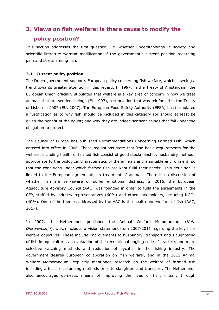# <span id="page-17-0"></span>**3. Views on fish welfare: is there cause to modify the policy position?**

This section addresses the first question, i.e. whether understandings in society and scientific literature warrant modification of the government's current position regarding pain and stress among fish.

#### <span id="page-17-1"></span>**3.1 Current policy position**

The Dutch government supports European policy concerning fish welfare, which is seeing a trend towards greater attention in this regard. In 1997, in the Treaty of Amsterdam, the European Union officially stipulated that welfare is a key area of concern in how we treat animals that are sentient beings (EU 1997), a stipulation that was reinforced in the Treaty of Lisbon in 2007 (EU, 2007). The European Food Safety Authority (EFSA) has formulated a justification as to why fish should be included in this category (or should at least be given the benefit of the doubt) and why they are indeed sentient beings that fall under the obligation to protect.

The Council of Europe has published Recommendations Concerning Farmed Fish, which entered into effect in 2006. These regulations state that 'the basic requirements for the welfare, including health of farmed fish consist of good stockmanship, husbandry methods appropriate to the biological characteristics of the animals and a suitable environment, so that the conditions under which farmed fish are kept fulfil their needs'. This definition is linked to the European agreements on treatment of animals. There is no discussion of whether fish are self-aware or suffer emotional distress. In 2016, the European Aquaculture Advisory Council (AAC) was founded in order to fulfil the agreements in the CFP, staffed by industry representatives (60%) and other stakeholders, including NGOs (40%). One of the themes addressed by the AAC is the health and welfare of fish (AAC, 2017).

In 2007, the Netherlands published the Animal Welfare Memorandum (*Nota Dierenwelzijn*), which includes a vision statement from 2007-2011 regarding the key fishwelfare objectives. These include improvements to husbandry, transport and slaughtering of fish in aquaculture, an evaluation of the recreational angling code of practice, and more selective catching methods and reduction of bycatch in the fishing industry. The government desires European collaboration on 'fish welfare', and in the 2012 Animal Welfare Memorandum, explicitly mentioned research on the welfare of farmed fish including a focus on stunning methods prior to slaughter, and transport. The Netherlands also encourages domestic means of improving the lives of fish, initially through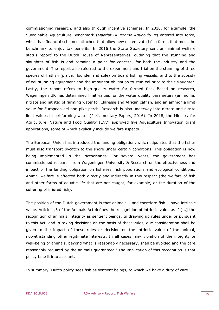commissioning research, and also through incentive schemes. In 2010, for example, the Sustainable Aquaculture Benchmark (*Maatlat Duurzame Aquacultuur*) entered into force, which has financial schemes attached that allow new or renovated fish farms that meet the benchmark to enjoy tax benefits. In 2016 the State Secretary sent an 'animal welfare status report' to the Dutch House of Representatives, outlining that the stunning and slaughter of fish is and remains a point for concern, for both the industry and the government. The report also referred to the experiment and trial on the stunning of three species of flatfish (plaice, flounder and sole) on board fishing vessels, and to the subsidy of eel-stunning equipment and the imminent obligation to stun eel prior to their slaughter. Lastly, the report refers to high-quality water for farmed fish. Based on research, Wageningen UR has determined limit values for the water quality parameters (ammonia, nitrate and nitrite) of farming water for Claresse and African catfish, and an ammonia limit value for European eel and pike perch. Research is also underway into nitrate and nitrite limit values in eel-farming water (Parliamentary Papers, 2016). In 2018, the Ministry for Agriculture, Nature and Food Quality (LNV) approved five Aquaculture Innovation grant applications, some of which explicitly include welfare aspects.

The European Union has introduced the landing obligation, which stipulates that the fisher must also transport bycatch to the shore under certain conditions. This obligation is now being implemented in the Netherlands. For several years, the government has commissioned research from Wageningen University & Research on the effectiveness and impact of the landing obligation on fisheries, fish populations and ecological conditions. Animal welfare is affected both directly and indirectly in this respect (the welfare of fish and other forms of aquatic life that are not caught, for example, or the duration of the suffering of injured fish).

The position of the Dutch government is that animals – and therefore fish – have intrinsic value. Article 1.3 of the Animals Act defines the recognition of intrinsic value as: ' [...] the recognition of animals' integrity as sentient beings. In drawing up rules under or pursuant to this Act, and in taking decisions on the basis of these rules, due consideration shall be given to the impact of these rules or decision on the intrinsic value of the animal, notwithstanding other legitimate interests. In all cases, any violation of the integrity or well-being of animals, beyond what is reasonably necessary, shall be avoided and the care reasonably required by the animals guaranteed.' The implication of this recognition is that policy take it into account.

In summary, Dutch policy sees fish as sentient beings, to which we have a duty of care.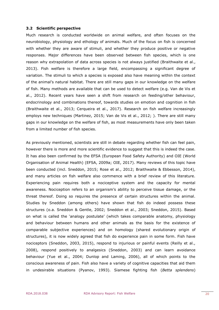#### <span id="page-19-0"></span>**3.2 Scientific perspective**

Much research is conducted worldwide on animal welfare, and often focuses on the neurobiology, physiology and ethology of animals. Much of the focus on fish is concerned with whether they are aware of stimuli, and whether they produce positive or negative responses. Major differences have been observed between fish species, which is one reason why extrapolation of data across species is not always justified (Braithwaite et al., 2013). Fish welfare is therefore a large field, encompassing a significant degree of variation. The stimuli to which a species is exposed also have meaning within the context of the animal's natural habitat. There are still many gaps in our knowledge on the welfare of fish. Many methods are available that can be used to detect welfare (e.g. Van de Vis et al., 2012). Recent years have seen a shift from research on feeding/other behaviour, endocrinology and combinations thereof, towards studies on emotion and cognition in fish (Braithwaite et al., 2013; Cerqueira et al., 2017). Research on fish welfare increasingly employs new techniques (Martinez, 2015; Van de Vis et al., 2012; ). There are still many gaps in our knowledge on the welfare of fish, as most measurements have only been taken from a limited number of fish species.

As previously mentioned, scientists are still in debate regarding whether fish can feel pain, however there is more and more scientific evidence to suggest that this is indeed the case. It has also been confirmed by the EFSA (European Food Safety Authority) and OIE (World Organisation of Animal Health) (EFSA, 2009a; OIE, 2017). Many reviews of this topic have been conducted (incl. Sneddon, 2015; Rose et al., 2012; Braithwaite & Ebbesson, 2014), and many articles on fish welfare also commence with a brief review of this literature. Experiencing pain requires both a nociceptive system and the capacity for mental awareness. Nociception refers to an organism's ability to perceive tissue damage, or the threat thereof. Doing so requires the presence of certain structures within the animal. Studies by Sneddon (among others) have shown that fish do indeed possess these structures (o.a. Sneddon & Gentle, 2002; Sneddon et al., 2003; Sneddon, 2015). Based on what is called the 'analogy postulate' (which takes comparable anatomy, physiology and behaviour between humans and other animals as the basis for the existence of comparable subjective experiences) and on homology (shared evolutionary origin of structures), it is now widely agreed that fish do experience pain in some form. Fish have nociceptors (Sneddon, 2003, 2015), respond to injurious or painful events (Reilly et al., 2008), respond positively to analgesics (Sneddon, 2003) and can learn avoidance behaviour (Yue et al., 2004; Dunlop and Laming, 2006), all of which points to the conscious awareness of pain. Fish also have a variety of cognitive capacities that aid them in undesirable situations (Pyanov, 1993). Siamese fighting fish (*Betta splendens*)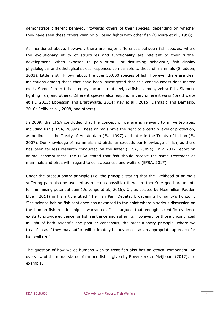demonstrate different behaviour towards others of their species, depending on whether they have seen these others winning or losing fights with other fish (Oliveira et al., 1998).

As mentioned above, however, there are major differences between fish species, where the evolutionary utility of structures and functionality are relevant to their further development. When exposed to pain stimuli or disturbing behaviour, fish display physiological and ethological stress responses comparable to those of mammals (Sneddon, 2003). Little is still known about the over 30,000 species of fish, however there are clear indications among those that have been investigated that this consciousness does indeed exist. Some fish in this category include trout, eel, catfish, salmon, zebra fish, Siamese fighting fish, and others. Different species also respond in very different ways (Braithwaite et al., 2013; Ebbesson and Braithwaite, 2014; Rey et al., 2015; Damasio and Damasio, 2016; Reilly et al., 2008, and others).

In 2009, the EFSA concluded that the concept of welfare is relevant to all vertebrates, including fish (EFSA, 2009a). These animals have the right to a certain level of protection, as outlined in the Treaty of Amsterdam (EU, 1997) and later in the Treaty of Lisbon (EU 2007). Our knowledge of mammals and birds far exceeds our knowledge of fish, as there has been far less research conducted on the latter (EFSA, 2009a). In a 2017 report on animal consciousness, the EFSA stated that fish should receive the same treatment as mammals and birds with regard to consciousness and welfare (EFSA, 2017).

Under the precautionary principle (i.e. the principle stating that the likelihood of animals suffering pain also be avoided as much as possible) there are therefore good arguments for minimising potential pain (De Jonge et al., 2015). Or, as posited by Maximillian Padden Elder (2014) in his article titled 'The Fish Pain Debate: broadening humanity's horizon': 'The science behind fish sentience has advanced to the point where a serious discussion on the human-fish relationship is warranted. It is argued that enough scientific evidence exists to provide evidence for fish sentience and suffering. However, for those unconvinced in light of both scientific and popular consensus, the precautionary principle, where we treat fish as if they may suffer, will ultimately be advocated as an appropriate approach for fish welfare.'

The question of how we as humans wish to treat fish also has an ethical component. An overview of the moral status of farmed fish is given by Bovenkerk en Meijboom (2012), for example.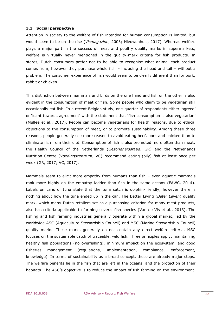#### <span id="page-21-0"></span>**3.3 Social perspective**

Attention in society to the welfare of fish intended for human consumption is limited, but would seem to be on the rise (*Vismagazine*, 2003; Nieuwenhuis, 2017). Whereas welfare plays a major part in the success of meat and poultry quality marks in supermarkets, welfare is virtually never mentioned in the quality-mark criteria for fish products. In stores, Dutch consumers prefer not to be able to recognise what animal each product comes from, however they purchase whole fish – including the head and tail – without a problem. The consumer experience of fish would seem to be clearly different than for pork, rabbit or chicken.

This distinction between mammals and birds on the one hand and fish on the other is also evident in the consumption of meat or fish. Some people who claim to be vegetarian still occasionally eat fish. In a recent Belgian study, one-quarter of respondents either 'agreed' or 'leant towards agreement' with the statement that 'fish consumption is also vegetarian' (Mullee et al., 2017). People can become vegetarians for health reasons, due to ethical objections to the consumption of meat, or to promote sustainability. Among these three reasons, people generally see more reason to avoid eating beef, pork and chicken than to eliminate fish from their diet. Consumption of fish is also promoted more often than meat: the Health Council of the Netherlands (*Gezondheidsraad*, GR) and the Netherlands Nutrition Centre (*Voedingscentrum*, VC) recommend eating (oily) fish at least once per week (GR, 2017; VC, 2017).

Mammals seem to elicit more empathy from humans than fish – even aquatic mammals rank more highly on the empathy ladder than fish in the same oceans (FAWC, 2014). Labels on cans of tuna state that the tuna catch is dolphin-friendly, however there is nothing about how the tuna ended up in the can. The Better Living (*Beter Leven*) quality mark, which many Dutch retailers set as a purchasing criterion for many meat products, also has criteria applicable to farming several fish species (Van de Vis et al., 2013). The fishing and fish farming industries generally operate within a global market, led by the worldwide ASC (Aquaculture Stewardship Council) and MSC (Marine Stewardship Council) quality marks. These marks generally do not contain any direct welfare criteria. MSC focuses on the sustainable catch of traceable, wild fish. Three principles apply: maintaining healthy fish populations (no overfishing), minimum impact on the ecosystem, and good fisheries management (regulations, implementation, compliance, enforcement, knowledge). In terms of sustainability as a broad concept, these are already major steps. The welfare benefits lie in the fish that are left in the oceans, and the protection of their habitats. The ASC's objective is to reduce the impact of fish farming on the environment.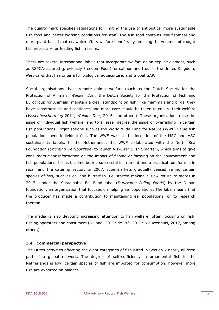The quality mark specifies regulations for limiting the use of antibiotics, more sustainable fish food and better working conditions for staff. The fish food contains less fishmeal and more plant-based matter, which offers welfare benefits by reducing the volumes of caught fish necessary for feeding fish in farms.

There are several international labels that incorporate welfare as an explicit element, such as RSPCA-assured (previously Freedom Food) for salmon and trout in the United Kingdom, *Naturland* that has criteria for biological aquaculture, and Global GAP.

Social organisations that promote animal welfare (such as the Dutch Society for the Protection of Animals, *Wakker Dier*, the Dutch Society for the Protection of Fish and Eurogroup for Animals) maintain a clear standpoint on fish: like mammals and birds, they have consciousness and sentience, and more care should be taken to ensure their welfare (*Vissenbescherming* 2011, *Wakker Dier*, 2015, and others). These organisations raise the issue of individual fish welfare, and to a lesser degree the issue of overfishing in certain fish populations. Organisations such as the World Wide Fund for Nature (WWF) value fish populations over individual fish. The WWF was at the inception of the MSC and ASC sustainability labels. In the Netherlands, the WWF collaborated with the North Sea Foundation (*Stichting De Noordzee*) to launch *Viswijzer* (Fish Smarter), which aims to give consumers clear information on the impact of fishing or farming on the environment and fish populations. It has become both a successful instrument and a practical tool for use in retail and the catering sector. In 2007, supermarkets gradually ceased selling certain species of fish, such as eel and butterfish. Eel started making a slow return to stores in 2017, under the Sustainable Eel Fund label (*Duurzame Paling Fonds*) by the Dupan foundation, an organisation that focuses on helping eel populations. The label means that the producer has made a contribution to maintaining eel populations, or to research thereon.

The media is also devoting increasing attention to fish welfare, often focusing on fish, fishing operators and consumers (Nijland, 2012; de Vré, 2015; Nieuwenhuis, 2017, among others).

#### <span id="page-22-0"></span>**3.4 Commercial perspective**

The Dutch activities affecting the eight categories of fish listed in Section 2 nearly all form part of a global network. The degree of self-sufficiency in ornamental fish in the Netherlands is low; certain species of fish are imported for consumption, however more fish are exported on balance.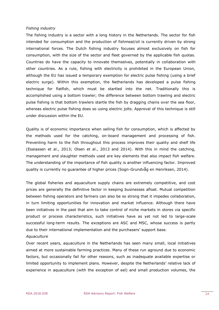#### *Fishing industry*

The fishing industry is a sector with a long history in the Netherlands. The sector for fish intended for consumption and the production of fishmeal/oil is currently driven by strong international forces. The Dutch fishing industry focuses almost exclusively on fish for consumption, with the size of the sector and fleet governed by the applicable fish quotas. Countries do have the capacity to innovate themselves, potentially in collaboration with other countries. As a rule, fishing with electricity is prohibited in the European Union, although the EU has issued a temporary exemption for electric pulse fishing (using a brief electric surge). Within this exemption, the Netherlands has developed a pulse fishing technique for flatfish, which must be startled into the net. Traditionally this is accomplished using a bottom trawler; the difference between bottom trawling and electric pulse fishing is that bottom trawlers startle the fish by dragging chains over the sea floor, whereas electric pulse fishing does so using electric jolts. Approval of this technique is still under discussion within the EU.

Quality is of economic importance when selling fish for consumption, which is affected by the methods used for the catching, on-board management and processing of fish. Preventing harm to the fish throughout this process improves their quality and shelf life (Esaiassen et al., 2013; Olsen et al., 2013 and 2014). With this in mind the catching, management and slaughter methods used are key elements that also impact fish welfare. The understanding of the importance of fish quality is another influencing factor. Improved quality is currently no guarantee of higher prices (Sogn-Grundvåg en Henriksen, 2014).

The global fisheries and aquaculture supply chains are extremely competitive, and cost prices are generally the definitive factor in keeping businesses afloat. Mutual competition between fishing operators and farmers can also be so strong that it impedes collaboration, in turn limiting opportunities for innovation and market influence. Although there have been initiatives in the past that aim to take control of niche markets in stores via specific product or process characteristics, such initiatives have as yet not led to large-scale successful long-term results. The exceptions are ASC and MSC, whose success is partly due to their international implementation and the purchasers' support base.

#### *Aquaculture*

Over recent years, aquaculture in the Netherlands has seen many small, local initiatives aimed at more sustainable farming practices. Many of these run aground due to economic factors, but occasionally fail for other reasons, such as inadequate available expertise or limited opportunity to implement plans. However, despite the Netherlands' relative lack of experience in aquaculture (with the exception of eel) and small production volumes, the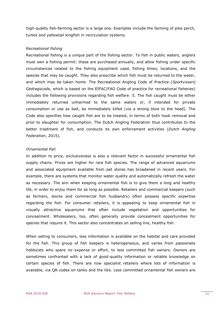high-quality fish-farming sector is a large one. Examples include the farming of pike perch, turbot and yellowtail kingfish in recirculation systems.

#### *Recreational fishing*

Recreational fishing is a unique part of the fishing sector. To fish in public waters, anglers must own a fishing permit: these are purchased annually, and allow fishing under specific circumstances related to the fishing equipment used, fishing times, locations, and the species that may be caught. They also prescribe which fish must be returned to the water, and which may be taken home. The Recreational Angling Code of Practice (*Sportvisserij Gedragscode*, which is based on the EIFAC/FAO Code of practice for recreational fisheries) includes the following provisions regarding fish welfare: 5. The fish caught must be either immediately returned unharmed to the same waters or, if intended for private consumption or use as bait, be immediately killed (via a strong blow to the head). The Code also specifies how caught fish are to be treated, in terms of both hook removal and prior to slaughter for consumption. The Dutch Angling Federation thus contributes to the better treatment of fish, and conducts its own enforcement activities (*Dutch Angling Federation*, 2015).

#### *Ornamental fish*

In addition to price, exclusiveness is also a relevant factor in successful ornamental fish supply chains. Prices are higher for rare fish species. The range of advanced aquariums and associated equipment available from pet stores has broadened in recent years. For example, there are systems that monitor water quality and automatically refresh the water as necessary. The aim when keeping ornamental fish is to give them a long and healthy life, in order to enjoy them for as long as possible. Retailers and commercial keepers (such as farmers, stores and commercial fish husbandry) often possess specific expertise regarding the fish. For consumer retailers, it is appealing to keep ornamental fish in visually attractive aquariums that often include vegetation and opportunities for concealment. Wholesalers, too, often generally provide concealment opportunities for species that require it. This sector also concentrates on selling live, healthy fish.

When selling to consumers, less information is available on the habitat and care provided for the fish. This group of fish keepers is heterogeneous, and varies from passionate hobbyists who spare no expense or effort, to less committed fish owners. Owners are sometimes confronted with a lack of good-quality information or reliable knowledge on certain species of fish. There are now specialist retailers where lots of information is available, via QR-codes on tanks and the like. Less committed ornamental fish owners are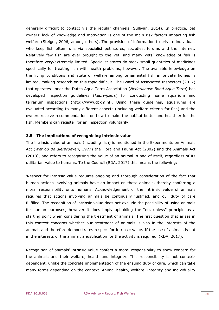generally difficult to contact via the regular channels (Sullivan, 2014). In practice, pet owners' lack of knowledge and motivation is one of the main risk factors impacting fish welfare (Steiger, 2006, among others). The provision of information to private individuals who keep fish often runs via specialist pet stores, societies, forums and the internet. Relatively few fish are ever brought to the vet, and many vets' knowledge of fish is therefore very/extremely limited. Specialist stores do stock small quantities of medicines specifically for treating fish with health problems, however. The available knowledge on the living conditions and state of welfare among ornamental fish in private homes is limited, making research on this topic difficult. The Board of Associated Inspectors (2017) that operates under the Dutch Aqua Terra Association (*Nederlandse Bond Aqua Terra*) has developed inspection guidelines (*keurwijzers*) for conducting home aquarium and terrarium inspections (http://www.cbkm.nl). Using these guidelines, aquariums are evaluated according to many different aspects (including welfare criteria for fish) and the owners receive recommendations on how to make the habitat better and healthier for the fish. Members can register for an inspection voluntarily.

#### <span id="page-25-0"></span>**3.5 The implications of recognising intrinsic value**

The intrinsic value of animals (including fish) is mentioned in the Experiments on Animals Act (*Wet op de dierproeven*, 1977) the Flora and Fauna Act (2002) and the Animals Act (2013), and refers to recognising the value of an animal in and of itself, regardless of its utilitarian value to humans. To the Council (RDA, 2017) this means the following:

'Respect for intrinsic value requires ongoing and thorough consideration of the fact that human actions involving animals have an impact on these animals, thereby conferring a moral responsibility onto humans. Acknowledgement of the intrinsic value of animals requires that actions involving animals be continually justified, and our duty of care fulfilled. The recognition of intrinsic value does not exclude the possibility of using animals for human purposes, however it does imply upholding the "no, unless" principle as a starting point when considering the treatment of animals. The first question that arises in this context concerns whether our treatment of animals is also in the interests of the animal, and therefore demonstrates respect for intrinsic value. If the use of animals is not in the interests of the animal, a justification for the activity is required' (RDA, 2017).

Recognition of animals' intrinsic value confers a moral responsibility to show concern for the animals and their welfare, health and integrity. This responsibility is not contextdependent, unlike the concrete implementation of the ensuing duty of care, which can take many forms depending on the context. Animal health, welfare, integrity and individuality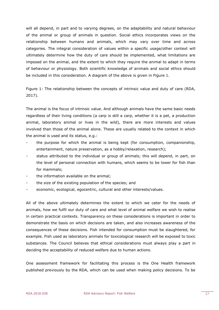will all depend, in part and to varying degrees, on the adaptability and natural behaviour of the animal or group of animals in question. Social ethics incorporates views on the relationship between humans and animals, which may vary over time and across categories. The integral consideration of values within a specific usage/other context will ultimately determine how the duty of care should be implemented, what limitations are imposed on the animal, and the extent to which they require the animal to adapt in terms of behaviour or physiology. Both scientific knowledge of animals and social ethics should be included in this consideration. A diagram of the above is given in Figure 1.

Figure 1: The relationship between the concepts of intrinsic value and duty of care (RDA, 2017).

The animal is the focus of intrinsic value. And although animals have the same basic needs regardless of their living conditions (a carp is still a carp, whether it is a pet, a production animal, laboratory animal or lives in the wild), there are more interests and values involved than those of the animal alone. These are usually related to the context in which the animal is used and its status, e.g.:

- the purpose for which the animal is being kept (for consumption, companionship, entertainment, nature preservation, as a hobby/relaxation, research);
- status attributed to the individual or group of animals; this will depend, in part, on the level of personal connection with humans, which seems to be lower for fish than for mammals;
- the information available on the animal;
- the size of the existing population of the species; and
- economic, ecological, egocentric, cultural and other interests/values.

All of the above ultimately determines the extent to which we cater for the needs of animals, how we fulfil our duty of care and what level of animal welfare we wish to realise in certain practical contexts. Transparency on these considerations is important in order to demonstrate the basis on which decisions are taken, and also increases awareness of the consequences of these decisions. Fish intended for consumption must be slaughtered, for example. Fish used as laboratory animals for toxicological research will be exposed to toxic substances. The Council believes that ethical considerations must always play a part in deciding the acceptability of reduced welfare due to human actions.

One assessment framework for facilitating this process is the One Health framework published previously by the RDA, which can be used when making policy decisions. To be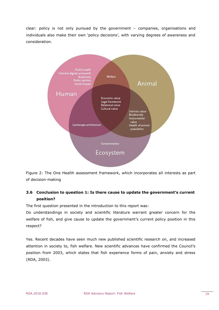clear: policy is not only pursued by the government – companies, organisations and individuals also make their own 'policy decisions', with varying degrees of awareness and consideration.



Figure 2: The One Health assessment framework, which incorporates all interests as part of decision-making

# <span id="page-27-0"></span>**3.6 Conclusion to question 1: Is there cause to update the government's current position?**

The first question presented in the introduction to this report was:

Do understandings in society and scientific literature warrant greater concern for the welfare of fish, and give cause to update the government's current policy position in this respect?

Yes. Recent decades have seen much new published scientific research on, and increased attention in society to, fish welfare. New scientific advances have confirmed the Council's position from 2003, which states that fish experience forms of pain, anxiety and stress (RDA, 2003).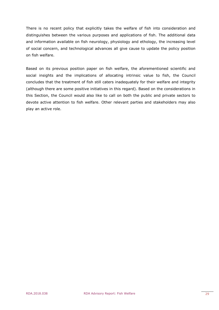There is no recent policy that explicitly takes the welfare of fish into consideration and distinguishes between the various purposes and applications of fish. The additional data and information available on fish neurology, physiology and ethology, the increasing level of social concern, and technological advances all give cause to update the policy position on fish welfare.

Based on its previous position paper on fish welfare, the aforementioned scientific and social insights and the implications of allocating intrinsic value to fish, the Council concludes that the treatment of fish still caters inadequately for their welfare and integrity (although there are some positive initiatives in this regard). Based on the considerations in this Section, the Council would also like to call on both the public and private sectors to devote active attention to fish welfare. Other relevant parties and stakeholders may also play an active role.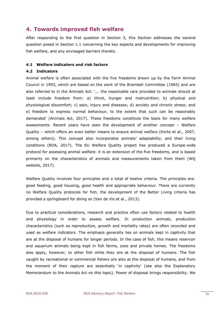# <span id="page-29-0"></span>**4. Towards improved fish welfare**

After responding to the first question in Section 3, this Section addresses the second question posed in Section 1.1 concerning the key aspects and developments for improving fish welfare, and any envisaged barriers thereto.

#### <span id="page-29-1"></span>**4.1 Welfare indicators and risk factors**

#### <span id="page-29-2"></span>**4.2 Indicators**

Animal welfare is often associated with the five freedoms drawn up by the Farm Animal Council in 1993, which are based on the work of the Brambell Committee (1965) and are also referred to in the Animals Act: '... the reasonable care provided to animals should at least include freedom from: a) thirst, hunger and malnutrition; b) physical and physiological discomfort; c) pain, injury and diseases; d) anxiety and chronic stress; and e) freedom to express normal behaviour, to the extent that such can be reasonably demanded' (Animals Act, 2017). These freedoms constitute the basis for many welfare assessments. Recent years have seen the development of another concept – Welfare Quality – which offers an even better means to ensure animal welfare (Korte et al., 2007, among others). This concept also incorporates animals' adaptability, and their living conditions (RDA, 2017). The EU Welfare Quality project has produced a Europe-wide protocol for assessing animal welfare: it is an extension of the five freedoms, and is based primarily on the characteristics of animals and measurements taken from them (WQ website, 2017).

Welfare Quality involves four principles and a total of twelve criteria. The principles are: good feeding, good housing, good health and appropriate behaviour. There are currently no Welfare Quality protocols for fish; the development of the Better Living criteria has provided a springboard for doing so (Van de Vis et al., 2013).

Due to practical considerations, research and practice often use factors related to health and physiology in order to assess welfare. In production animals, production characteristics (such as reproduction, growth and mortality rates) are often recorded and used as welfare indicators. The emphasis generally lies on animals kept in captivity that are at the disposal of humans for longer periods. In the case of fish, this means reservoir and aquarium animals being kept in fish farms, zoos and private homes. The freedoms also apply, however, to other fish while they are at the disposal of humans. The fish caught by recreational or commercial fishers are also at the disposal of humans, and from the moment of their capture are essentially 'in captivity' (see also the Explanatory Memorandum to the Animals Act on this topic). Power of disposal brings responsibility. We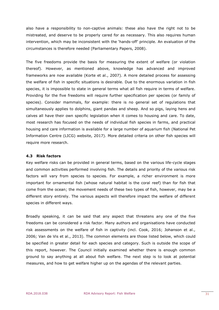also have a responsibility to non-captive animals: these also have the right not to be mistreated, and deserve to be properly cared for as necessary. This also requires human intervention, which may be inconsistent with the 'hands-off' principle. An evaluation of the circumstances is therefore needed (Parliamentary Papers, 2008).

The five freedoms provide the basis for measuring the extent of welfare (or violation thereof). However, as mentioned above, knowledge has advanced and improved frameworks are now available (Korte et al., 2007). A more detailed process for assessing the welfare of fish in specific situations is desirable. Due to the enormous variation in fish species, it is impossible to state in general terms what all fish require in terms of welfare. Providing for the five freedoms will require further specification per species (or family of species). Consider mammals, for example: there is no general set of regulations that simultaneously applies to dolphins, giant pandas and sheep. And so pigs, laying hens and calves all have their own specific legislation when it comes to housing and care. To date, most research has focused on the needs of individual fish species in farms, and practical housing and care information is available for a large number of aquarium fish (National Pet Information Centre (LICG) website, 2017). More detailed criteria on other fish species will require more research.

#### <span id="page-30-0"></span>**4.3 Risk factors**

Key welfare risks can be provided in general terms, based on the various life-cycle stages and common activities performed involving fish. The details and priority of the various risk factors will vary from species to species. For example, a richer environment is more important for ornamental fish (whose natural habitat is the coral reef) than for fish that come from the ocean; the movement needs of these two types of fish, however, may be a different story entirely. The various aspects will therefore impact the welfare of different species in different ways.

Broadly speaking, it can be said that any aspect that threatens any one of the five freedoms can be considered a risk factor. Many authors and organisations have conducted risk assessments on the welfare of fish in captivity (incl. Cook, 2016; Johanson et al., 2006; Van de Vis et al., 2013). The common elements are those listed below, which could be specified in greater detail for each species and category. Such is outside the scope of this report, however. The Council initially examined whether there is enough common ground to say anything at all about fish welfare. The next step is to look at potential measures, and how to get welfare higher up on the agendas of the relevant parties.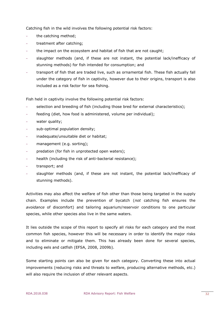Catching fish in the wild involves the following potential risk factors:

- the catching method;
- treatment after catching;
- the impact on the ecosystem and habitat of fish that are not caught;
- slaughter methods (and, if these are not instant, the potential lack/inefficacy of stunning methods) for fish intended for consumption; and
- transport of fish that are traded live, such as ornamental fish. These fish actually fall under the category of fish in captivity, however due to their origins, transport is also included as a risk factor for sea fishing.

Fish held in captivity involve the following potential risk factors:

- selection and breeding of fish (including those bred for external characteristics);
- feeding (diet, how food is administered, volume per individual);
- water quality;
- sub-optimal population density;
- inadequate/unsuitable diet or habitat;
- management (e.g. sorting);
- predation (for fish in unprotected open waters);
- health (including the risk of anti-bacterial resistance);
- transport; and
- slaughter methods (and, if these are not instant, the potential lack/inefficacy of stunning methods).

Activities may also affect the welfare of fish other than those being targeted in the supply chain. Examples include the prevention of bycatch (*not* catching fish ensures the *avoidance* of discomfort) and tailoring aquarium/reservoir conditions to one particular species, while other species also live in the same waters.

It lies outside the scope of this report to specify all risks for each category and the most common fish species, however this will be necessary in order to identify the major risks and to eliminate or mitigate them. This has already been done for several species, including eels and catfish (EFSA, 2008, 2009b).

Some starting points can also be given for each category. Converting these into actual improvements (reducing risks and threats to welfare, producing alternative methods, etc.) will also require the inclusion of other relevant aspects.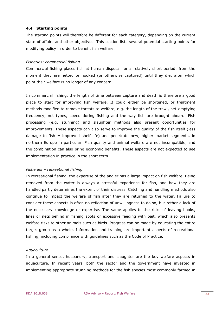#### <span id="page-32-0"></span>**4.4 Starting points**

The starting points will therefore be different for each category, depending on the current state of affairs and other objectives. This section lists several potential starting points for modifying policy in order to benefit fish welfare.

#### *Fisheries: commercial fishing*

Commercial fishing places fish at human disposal for a relatively short period: from the moment they are netted or hooked (or otherwise captured) until they die, after which point their welfare is no longer of any concern.

In commercial fishing, the length of time between capture and death is therefore a good place to start for improving fish welfare. It could either be shortened, or treatment methods modified to remove threats to welfare, e.g. the length of the trawl, net-emptying frequency, net types, speed during fishing and the way fish are brought aboard. Fish processing (e.g. stunning) and slaughter methods also present opportunities for improvements. These aspects can also serve to improve the quality of the fish itself (less damage to fish = improved shelf life) and penetrate new, higher market segments, in northern Europe in particular. Fish quality and animal welfare are not incompatible, and the combination can also bring economic benefits. These aspects are not expected to see implementation in practice in the short term.

#### *Fisheries – recreational fishing*

In recreational fishing, the expertise of the angler has a large impact on fish welfare. Being removed from the water is always a stressful experience for fish, and how they are handled partly determines the extent of their distress. Catching and handling methods also continue to impact the welfare of fish after they are returned to the water. Failure to consider these aspects is often no reflection of unwillingness to do so, but rather a lack of the necessary knowledge or expertise. The same applies to the risks of leaving hooks, lines or nets behind in fishing spots or excessive feeding with bait, which also presents welfare risks to other animals such as birds. Progress can be made by educating the entire target group as a whole. Information and training are important aspects of recreational fishing, including compliance with guidelines such as the Code of Practice.

#### *Aquaculture*

In a general sense, husbandry, transport and slaughter are the key welfare aspects in aquaculture. In recent years, both the sector and the government have invested in implementing appropriate stunning methods for the fish species most commonly farmed in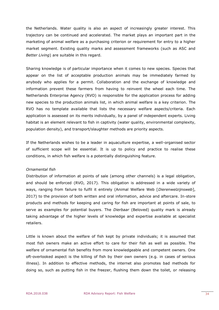the Netherlands. Water quality is also an aspect of increasingly greater interest. This trajectory can be continued and accelerated. The market plays an important part in the marketing of animal welfare as a purchasing criterion or requirement for entry to a higher market segment. Existing quality marks and assessment frameworks (such as ASC and *Better Living*) are suitable in this regard.

Sharing knowledge is of particular importance when it comes to new species. Species that appear on the list of acceptable production animals may be immediately farmed by anybody who applies for a permit. Collaboration and the exchange of knowledge and information prevent these farmers from having to reinvent the wheel each time. The Netherlands Enterprise Agency (RVO) is responsible for the application process for adding new species to the production animals list, in which animal welfare is a key criterion. The RVO has no template available that lists the necessary welfare aspects/criteria. Each application is assessed on its merits individually, by a panel of independent experts. Living habitat is an element relevant to fish in captivity (water quality, environmental complexity, population density), and transport/slaughter methods are priority aspects.

If the Netherlands wishes to be a leader in aquaculture expertise, a well-organised sector of sufficient scope will be essential. It is up to policy and practice to realise these conditions, in which fish welfare is a potentially distinguishing feature.

#### *Ornamental fish*

Distribution of information at points of sale (among other channels) is a legal obligation, and should be enforced (RVO, 2017). This obligation is addressed in a wide variety of ways, ranging from failure to fulfil it entirely (Animal Welfare Web [*Dierenwelzijnsweb*], 2017) to the provision of both written and oral information, advice and aftercare. In-store products and methods for keeping and caring for fish are important at points of sale, to serve as examples for potential buyers. The *Dierbaar* (Beloved) quality mark is already taking advantage of the higher levels of knowledge and expertise available at specialist retailers.

Little is known about the welfare of fish kept by private individuals; it is assumed that most fish owners make an active effort to care for their fish as well as possible. The welfare of ornamental fish benefits from more knowledgeable and competent owners. One oft-overlooked aspect is the killing of fish by their own owners (e.g. in cases of serious illness). In addition to effective methods, the internet also promotes bad methods for doing so, such as putting fish in the freezer, flushing them down the toilet, or releasing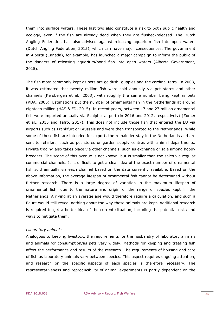them into surface waters. These last two also constitute a risk to both public health and ecology, even if the fish are already dead when they are flushed/released. The Dutch Angling Federation has also advised against releasing aquarium fish into open waters (Dutch Angling Federation, 2015), which can have major consequences. The government in Alberta (Canada), for example, has launched a major campaign to inform the public of the dangers of releasing aquarium/pond fish into open waters (Alberta Government, 2015).

The fish most commonly kept as pets are goldfish, guppies and the cardinal tetra. In 2003, it was estimated that twenty million fish were sold annually via pet stores and other channels (Kersbergen et al., 2003), with roughly the same number being kept as pets (RDA, 2006). Estimations put the number of ornamental fish in the Netherlands at around eighteen million (HAS & FD, 2015). In recent years, between 17 and 27 million ornamental fish were imported annually via Schiphol airport (in 2016 and 2012, respectively) (Zomer et al., 2015 and Tafro, 2017). This does not include those fish that entered the EU via airports such as Frankfurt or Brussels and were then transported to the Netherlands. While some of these fish are intended for export, the remainder stay in the Netherlands and are sent to retailers, such as pet stores or garden supply centres with animal departments. Private trading also takes place via other channels, such as exchange or sale among hobby breeders. The scope of this avenue is not known, but is smaller than the sales via regular commercial channels. It is difficult to get a clear idea of the exact number of ornamental fish sold annually via each channel based on the data currently available. Based on the above information, the average lifespan of ornamental fish cannot be determined without further research. There is a large degree of variation in the maximum lifespan of ornamental fish, due to the nature and origin of the range of species kept in the Netherlands. Arriving at an average age would therefore require a calculation, and such a figure would still reveal nothing about the way these animals are kept. Additional research is required to get a better idea of the current situation, including the potential risks and ways to mitigate them.

#### *Laboratory animals*

Analogous to keeping livestock, the requirements for the husbandry of laboratory animals and animals for consumption/as pets vary widely. Methods for keeping and treating fish affect the performance and results of the research. The requirements of housing and care of fish as laboratory animals vary between species. This aspect requires ongoing attention, and research on the specific aspects of each species is therefore necessary. The representativeness and reproducibility of animal experiments is partly dependent on the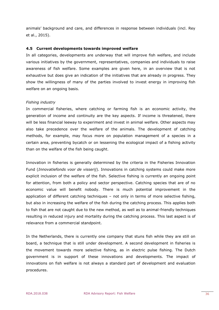animals' background and care, and differences in response between individuals (incl. Rey et al., 2015).

#### <span id="page-35-0"></span>**4.5 Current developments towards improved welfare**

In all categories, developments are underway that will improve fish welfare, and include various initiatives by the government, representatives, companies and individuals to raise awareness of fish welfare. Some examples are given here, in an overview that is not exhaustive but does give an indication of the initiatives that are already in progress. They show the willingness of many of the parties involved to invest energy in improving fish welfare on an ongoing basis.

#### *Fishing industry*

In commercial fisheries, where catching or farming fish is an economic activity, the generation of income and continuity are the key aspects. If income is threatened, there will be less financial leeway to experiment and invest in animal welfare. Other aspects may also take precedence over the welfare of the animals. The development of catching methods, for example, may focus more on population management of a species in a certain area, preventing bycatch or on lessening the ecological impact of a fishing activity than on the welfare of the fish being caught.

Innovation in fisheries is generally determined by the criteria in the Fisheries Innovation Fund (*Innovatiefonds voor de visserij*). Innovations in catching systems could make more explicit inclusion of the welfare of the fish. Selective fishing is currently an ongoing point for attention, from both a policy and sector perspective. Catching species that are of no economic value will benefit nobody. There is much potential improvement in the application of different catching techniques – not only in terms of more selective fishing, but also in increasing the welfare of the fish during the catching process. This applies both to fish that are not caught due to the new method, as well as to animal-friendly techniques resulting in reduced injury and mortality during the catching process. This last aspect is of relevance from a commercial standpoint.

In the Netherlands, there is currently one company that stuns fish while they are still on board, a technique that is still under development. A second development in fisheries is the movement towards more selective fishing, as in electric pulse fishing. The Dutch government is in support of these innovations and developments. The impact of innovations on fish welfare is not always a standard part of development and evaluation procedures.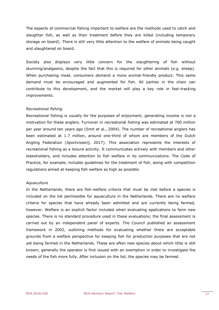The aspects of commercial fishing important to welfare are the methods used to catch and slaughter fish, as well as their treatment before they are killed (including temporary storage on board). There is still very little attention to the welfare of animals being caught and slaughtered on board.

Society also displays very little concern for the slaughtering of fish without stunning/analgesics, despite the fact that this is required for other animals (e.g. sheep). When purchasing meat, consumers demand a more animal-friendly product. This same demand must be encouraged and augmented for fish. All parties in the chain can contribute to this development, and the market will play a key role in fast-tracking improvements.

#### *Recreational fishing*

Recreational fishing is usually for the purposes of enjoyment; generating income is not a motivation for these anglers. Turnover in recreational fishing was estimated at 700 million per year around ten years ago (Smit et al., 2004). The number of recreational anglers has been estimated at 1.7 million, around one-third of whom are members of the Dutch Angling Federation (*Sportvisserij*, 2017). This association represents the interests of recreational fishing as a leisure activity. It communicates actively with members and other stakeholders, and includes attention to fish welfare in its communications. The Code of Practice, for example, includes guidelines for the treatment of fish, along with competition regulations aimed at keeping fish welfare as high as possible.

#### *Aquaculture*

In the Netherlands, there are fish-welfare criteria that must be met before a species is included on the list permissible for aquaculture in the Netherlands. There are no welfare criteria for species that have already been admitted and are currently being farmed, however. Welfare is an explicit factor included when evaluating applications to farm new species. There is no standard procedure used in these evaluations; the final assessment is carried out by an independent panel of experts. The Council published an assessment framework in 2002, outlining methods for evaluating whether there are acceptable grounds from a welfare perspective for keeping fish for production purposes that are not yet being farmed in the Netherlands. These are often new species about which little is still known; generally the operator is first issued with an exemption in order to investigate the needs of the fish more fully. After inclusion on the list, the species may be farmed.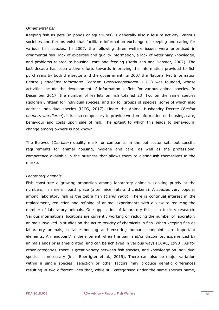#### *Ornamental fish*

Keeping fish as pets (in ponds or aquariums) is generally also a leisure activity. Various societies and forums exist that facilitate information exchange on keeping and caring for various fish species. In 2007, the following three welfare issues were prioritised in ornamental fish: lack of expertise and quality information, a lack of veterinary knowledge, and problems related to housing, care and feeding (Rothuizen and Hopster, 2007). The last decade has seen active efforts towards improving the information provided to fish purchasers by both the sector and the government. In 2007 the National Pet Information Centre (*Landelijke Informatie Centrum Gezelschapsdieren*, LICG) was founded, whose activities include the development of information leaflets for various animal species. In December 2017, the number of leaflets on fish totalled 23: two on the same species (goldfish), fifteen for individual species, and six for groups of species, some of which also address individual species (LICG, 2017). Under the Animal Husbandry Decree (*Besluit houders van dieren*), it is also compulsory to provide written information on housing, care, behaviour and costs upon sale of fish. The extent to which this leads to behavioural change among owners is not known.

The Beloved (*Dierbaar*) quality mark for companies in the pet sector sets out specific requirements for animal housing, hygiene and care, as well as the professional competence available in the business that allows them to distinguish themselves in the market.

#### *Laboratory animals*

Fish constitute a growing proportion among laboratory animals. Looking purely at the numbers, fish are in fourth place (after mice, rats and chickens). A species very popular among laboratory fish is the zebra fish (*Danio rerio*). There is continual interest in the replacement, reduction and refining of animal experiments with a view to reducing the number of laboratory animals. One application of laboratory fish is in toxicity research. Various international locations are currently working on reducing the number of laboratory animals involved in studies on the acute toxicity of chemicals in fish. When keeping fish as laboratory animals, suitable housing and ensuring humane endpoints are important elements. An 'endpoint' is the moment when the pain and/or discomfort experienced by animals ends or is ameliorated, and can be achieved in various ways (CCAC, 1998). As for other categories, there is great variety between fish species, and knowledge on individual species is necessary (incl. Boerrigter et al., 2015). There can also be major variation within a single species: selection or other factors may produce genetic differences resulting in two different lines that, while still categorised under the same species name,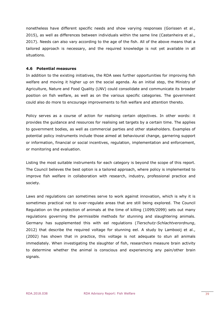nonetheless have different specific needs and show varying responses (Gorissen et al., 2015), as well as differences between individuals within the same line (Castanheira et al., 2017). Needs can also vary according to the age of the fish. All of the above means that a tailored approach is necessary, and the required knowledge is not yet available in all situations.

#### <span id="page-38-0"></span>**4.6 Potential measures**

In addition to the existing initiatives, the RDA sees further opportunities for improving fish welfare and moving it higher up on the social agenda. As an initial step, the Ministry of Agriculture, Nature and Food Quality (LNV) could consolidate and communicate its broader position on fish welfare, as well as on the various specific categories. The government could also do more to encourage improvements to fish welfare and attention thereto.

Policy serves as a course of action for realising certain objectives. In other words: it provides the guidance and resources for realising set targets by a certain time. The applies to government bodies, as well as commercial parties and other stakeholders. Examples of potential policy instruments include those aimed at behavioural change, garnering support or information, financial or social incentives, regulation, implementation and enforcement, or monitoring and evaluation.

Listing the most suitable instruments for each category is beyond the scope of this report. The Council believes the best option is a tailored approach, where policy is implemented to improve fish welfare in collaboration with research, industry, professional practice and society.

Laws and regulations can sometimes serve to work against innovation, which is why it is sometimes practical not to over-regulate areas that are still being explored. The Council Regulation on the protection of animals at the time of killing (1099/2099) sets out many regulations governing the permissible methods for stunning and slaughtering animals. Germany has supplemented this with eel regulations (*Tierschutz-Schlachtverordnung*, 2012) that describe the required voltage for stunning eel. A study by Lambooij et al., (2002) has shown that in practice, this voltage is not adequate to stun all animals immediately. When investigating the slaughter of fish, researchers measure brain activity to determine whether the animal is conscious and experiencing any pain/other brain signals.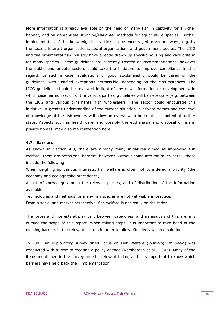More information is already available on the need of many fish in captivity for a richer habitat, and on appropriate stunning/slaughter methods for aquaculture species. Further implementation of this knowledge in practice can be encouraged in various ways, e.g. by the sector, interest organisations, social organisations and government bodies. The LICG and the ornamental fish industry have already drawn up specific housing and care criteria for many species. These guidelines are currently treated as recommendations, however the public and private sectors could take the initiative to improve compliance in this regard. In such a case, evaluations of good stockmanship would be based on the guidelines, with justified exceptions permissible, depending on the circumstances. The LICG guidelines should be reviewed in light of any new information or developments, in which case harmonisation of the various parties' guidelines will be necessary (e.g. between the LICG and various ornamental fish wholesalers). The sector could encourage this initiative. A greater understanding of the current situation in private homes and the level of knowledge of the fish owners will allow an overview to be created of potential further steps. Aspects such as health care, and possibly the euthanasia and disposal of fish in private homes, may also merit attention here.

#### <span id="page-39-0"></span>**4.7 Barriers**

As shown in Section 4.3, there are already many initiatives aimed at improving fish welfare. There are occasional barriers, however. Without going into too much detail, these include the following:

When weighing up various interests, fish welfare is often not considered a priority (the economy and ecology take precedence).

A lack of knowledge among the relevant parties, and of distribution of the information available.

Technologies and methods for many fish species are not yet viable in practice.

From a social and market perspective, fish welfare is not really on the radar.

The forces and interests at play vary between categories, and an analysis of this arena is outside the scope of this report. When taking steps, it is important to take heed of the existing barriers in the relevant sectors in order to allow effectively tailored solutions.

In 2003, an exploratory survey titled Focus on Fish Welfare (*Viswelzijn in beeld*) was conducted with a view to creating a policy agenda (Kersbergen et al., 2003). Many of the items mentioned in the survey are still relevant today, and it is important to know which barriers have held back their implementation.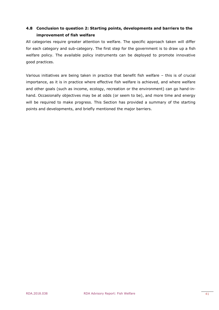# <span id="page-40-0"></span>**4.8 Conclusion to question 2: Starting points, developments and barriers to the improvement of fish welfare**

All categories require greater attention to welfare. The specific approach taken will differ for each category and sub-category. The first step for the government is to draw up a fish welfare policy. The available policy instruments can be deployed to promote innovative good practices.

Various initiatives are being taken in practice that benefit fish welfare – this is of crucial importance, as it is in practice where effective fish welfare is achieved, and where welfare and other goals (such as income, ecology, recreation or the environment) can go hand-inhand. Occasionally objectives may be at odds (or seem to be), and more time and energy will be required to make progress. This Section has provided a summary of the starting points and developments, and briefly mentioned the major barriers.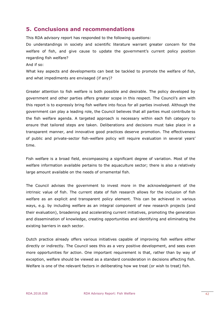# <span id="page-41-0"></span>**5. Conclusions and recommendations**

This RDA advisory report has responded to the following questions:

Do understandings in society and scientific literature warrant greater concern for the welfare of fish, and give cause to update the government's current policy position regarding fish welfare?

And if so:

What key aspects and developments can best be tackled to promote the welfare of fish, and what impediments are envisaged (if any)?

Greater attention to fish welfare is both possible and desirable. The policy developed by government and other parties offers greater scope in this respect. The Council's aim with this report is to expressly bring fish welfare into focus for all parties involved. Although the government can play a leading role, the Council believes that all parties must contribute to the fish welfare agenda. A targeted approach is necessary within each fish category to ensure that tailored steps are taken. Deliberations and decisions must take place in a transparent manner, and innovative good practices deserve promotion. The effectiveness of public and private-sector fish-welfare policy will require evaluation in several years' time.

Fish welfare is a broad field, encompassing a significant degree of variation. Most of the welfare information available pertains to the aquaculture sector; there is also a relatively large amount available on the needs of ornamental fish.

The Council advises the government to invest more in the acknowledgement of the intrinsic value of fish. The current state of fish research allows for the inclusion of fish welfare as an explicit and transparent policy element. This can be achieved in various ways, e.g. by including welfare as an integral component of new research projects (and their evaluation), broadening and accelerating current initiatives, promoting the generation and dissemination of knowledge, creating opportunities and identifying and eliminating the existing barriers in each sector.

Dutch practice already offers various initiatives capable of improving fish welfare either directly or indirectly. The Council sees this as a very positive development, and sees even more opportunities for action. One important requirement is that, rather than by way of exception, welfare should be viewed as a standard consideration in decisions affecting fish. Welfare is one of the relevant factors in deliberating how we treat (or wish to treat) fish.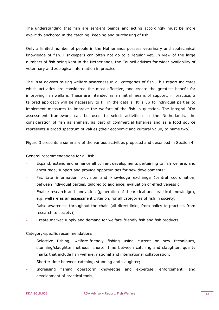The understanding that fish are sentient beings and acting accordingly must be more explicitly anchored in the catching, keeping and purchasing of fish.

Only a limited number of people in the Netherlands possess veterinary and zootechnical knowledge of fish. Fishkeepers can often not go to a regular vet. In view of the large numbers of fish being kept in the Netherlands, the Council advises for wider availability of veterinary and zoological information in practice.

The RDA advises raising welfare awareness in all categories of fish. This report indicates which activities are considered the most effective, and create the greatest benefit for improving fish welfare. These are intended as an initial means of support; in practice, a tailored approach will be necessary to fill in the details. It is up to individual parties to implement measures to improve the welfare of the fish in question. The integral RDA assessment framework can be used to select activities: in the Netherlands, the consideration of fish as animals, as part of commercial fisheries and as a food source represents a broad spectrum of values (their economic and cultural value, to name two).

Figure 3 presents a summary of the various activities proposed and described in Section 4.

#### General recommendations for all fish

- Expand, extend and enhance all current developments pertaining to fish welfare, and encourage, support and provide opportunities for new developments;
- Facilitate information provision and knowledge exchange (central coordination, between individual parties, tailored to audience, evaluation of effectiveness);
- Enable research and innovation (generation of theoretical and practical knowledge), e.g. welfare as an assessment criterion, for all categories of fish in society;
- Raise awareness throughout the chain (all direct links, from policy to practice, from research to society);
- Create market supply and demand for welfare-friendly fish and fish products.

#### Category-specific recommendations:

- Selective fishing, welfare-friendly fishing using current or new techniques, stunning/slaughter methods, shorter time between catching and slaughter, quality marks that include fish welfare, national and international collaboration;
- Shorter time between catching, stunning and slaughter;
- Increasing fishing operators' knowledge and expertise, enforcement, and development of practical tools;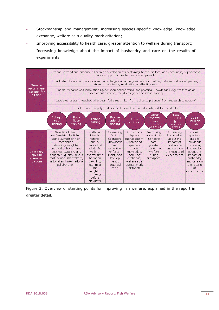- Stockmanship and management, increasing species-specific knowledge, knowledge exchange, welfare as a quality-mark criterion;
- Improving accessibility to health care, greater attention to welfare during transport;
- Increasing knowledge about the impact of husbandry and care on the results of experiments.



Figure 3: Overview of starting points for improving fish welfare, explained in the report in greater detail.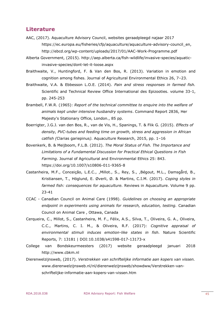# <span id="page-44-0"></span>**Literature**

- AAC, (2017). Aquaculture Advisory Council, websites geraadpleegd najaar 2017 [https://ec.europa.eu/fisheries/cfp/aquaculture/aquaculture-advisory-council\\_en,](https://ec.europa.eu/fisheries/cfp/aquaculture/aquaculture-advisory-council_en) <http://ebcd.org/wp-content/uploads/2017/01/AAC-Work-Programme.pdf>
- Alberta Government, (2015). http://aep.alberta.ca/fish-wildlife/invasive-species/aquaticinvasive-species/dont-let-it-loose.aspx
- Braithwaite, V., Huntingford, F. & Van den Bos, R. (2013). Variation in emotion and cognition among fishes. Journal of Agricultural Environmental Ethics 26, 7–23.
- Braithwaite, V.A. & Ebbesson L.O.E. (2014). *Pain and stress responses in farmed fish.* Scientific and Technical Review Office International des Epizooties. volume 33-1, pp. 245-253
- Brambell, F.W.R. (1965): *Report of the technical committee to enquire into the welfare of animals kept under intensive husbandry systems*. Command Report 2836, Her Majesty's Stationary Office, London., 85 pp.
- Boerrigter, J.G.J. van den Bos, R., van de Vis, H., Spanings, T. & Flik G. (2015). *Effects of density, PVC-tubes and feeding time on growth, stress and aggression in African catfish (*Clarias gariepinus*).* Aquaculture Research, 2015, pp. 1–16
- Bovenkerk, B. & Meijboom, F.L.B. (2012). *The Moral Status of Fish. The Importance and Limitations of a Fundamental Discussion for Practical Ethical Questions in Fish Farming*. Journal of Agricultural and Environmental Ethics 25: 843. https://doi.org/10.1007/s10806-011-9365-8
- Castanheira, M.F., Conceição, L.E.C., ,Millot., S., Rey, S., ,Bégout, M.L., Damsgård, B., Kristiansen, T., Höglund, E. Øverli, Ø. & Martins, C.I.M. (2017). *Coping styles in farmed fish: consequences for aquaculture.* Reviews in Aquaculture. Volume 9 pp. 23-41
- CCAC Canadian Council on Animal Care (1998). *Guidelines on choosing an appropriate endpoint in experiments using animals for research, education, testing.* Canadian Council on Animal Care , Ottawa, Canada
- Cerqueira, C., Millot, S., Castanheira, M. F., Félix, A.S., Silva, T., Oliveira, G. A., Oliveira, C.C., Martins, C. I. M., & Oliveira, R.F. (2017): *Cognitive appraisal of environmental stimuli induces emotion-like states in fish.* Nature Scientific Reports, 7: 13181 | DOI:10.1038/s41598-017-13173-x
- College van Bondskeurmeesters (2017) website geraadpleegd januari 2018 [http://www.cbkm.nl](http://www.cbkm.nl/)
- Dierenwelzijnsweb, (2017). *Verstrekken van schriftelijke informatie aan kopers van vissen.*  [www.dierenwelzijnsweb.nl/nl/dierenwelzijnsweb/showdww/Verstrekken-van](http://www.dierenwelzijnsweb.nl/nl/dierenwelzijnsweb/showdww/Verstrekken-van-schriftelijke-informatie-aan-kopers-van-vissen.htm)[schriftelijke-informatie-aan-kopers-van-vissen.htm](http://www.dierenwelzijnsweb.nl/nl/dierenwelzijnsweb/showdww/Verstrekken-van-schriftelijke-informatie-aan-kopers-van-vissen.htm)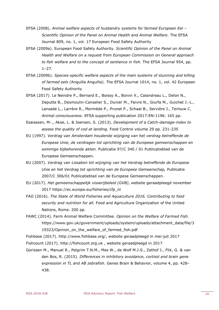- EFSA (2008). *Animal welfare aspects of husbandry systems for farmed European Eel – Scientific Opinion of the Panel on Animal Health and Animal Welfare*. The EFSA Journal 809, no. 1, vol. 17 European Food Safety Authority
- EFSA (2009a). European Food Safety Authority. *Scientific Opinion of the Panel on Animal Health and Welfare on a request from European Commission on General approach to fish welfare and to the concept of sentience in fish.* The EFSA Journal 954, pp. 1–27.
- EFSA (2009b). *Species-specific welfare aspects of the main systems of stunning and killing of farmed eels (*Anguilla Anguilla)*.* The EFSA Journal 1014, no. 1, vol. 42 European Food Safety Authority
- EFSA (2017). Le Neindre P., Bernard E., Boissy A., Boivin X., Calandreau L., Delon N., Deputte B., Desmoulin-Canselier S., Dunier M., Faivre N., Giurfa M., Guichet J.-L., Lansade L., Larrère R., Mormède P., Prunet P., Schaal B., Servière J., Terlouw C. *Animal consciousness*. EFSA supporting publication 2017:EN-1196. 165 pp.
- Esaiassen, M-., Akse, L. & Joensen, S. (2013). *Development of a Catch-damage-index to assess the quality of cod at landing.* Food Control volume 29 pp. 231-235
- EU (1997). *Verdrag van Amsterdam houdende wijziging van het verdrag betreffende de Europese Unie, de verdragen tot oprichting van de Europese gemeenschappen en sommige bijbehorende akten.* Publicatie 97/C 340 / 01 Publicatieblad van de Europese Gemeenschappen.
- EU (2007). *Verdrag van Lissabon tot wijziging van het Verdrag betreffende de Europese Unie en het Verdrag tot oprichting van de Europese Gemeenschap,* Publicatie 2007/C 306/01 Publicatieblad van de Europese Gemeenschappen.
- EU (2017). *Het gemeenschappelijk visserijbeleid (GVB)*, website geraadpleegd november 2017 https://ec.europa.eu/fisheries/cfp\_nl
- FAO (2016). *The State of World Fisheries and Aquaculture 2016. Contributing to food security and nutrition for all.* Food and Agriculture Organization of the United Nations, Rome. 200 pp.
- FAWC (2014). Farm Animal Welfare Committee. *Opinion on the Welfare of Farmed Fish.*  [https://www.gov.uk/government/uploads/system/uploads/attachment\\_data/file/3](https://www.gov.uk/government/uploads/system/uploads/attachment_data/file/319323/Opinion_on_the_welfare_of_farmed_fish.pdf) 19323/Opinion on the welfare of farmed fish.pdf
- Fishbase (2017). [http://www.fishbase.org/,](http://www.fishbase.org/) website geraadpleegd in mei-juli 2017
- Fishcount (2017). http://fishcount.org.uk , website geraadpleegd in 2017
- Gorissen M., Manuel R., Pelgrim T.N.M., Mes W., de Wolf M.J.S., Zethof J., Flik, G. & van den Bos, R. (2015). *Differences in inhibitory avoidance, cortisol and brain gene expression in TL and AB zebrafish*. Genes Brain & Behavior, volume 4, pp. 428– 438.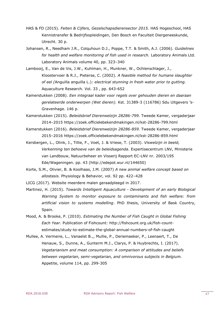- HAS & FD (2015). *Feiten & Cijfers, Gezelschapsdierensector 2015.* HAS Hogeschool, HAS Kennistransfer & Bedrijfsopleidingen, Den Bosch en Faculteit Diergeneeskunde, Utrecht. 30 p.
- Johansen, R., Needham J.R., Colquhoun D.J., Poppe, T.T. & Smith, A.J. (2006). *Guidelines for health and welfare monitoring of fish used in research.* Laboratory Animals Ltd. Laboratory Animals volume 40, pp. 323–340
- Lambooij, E., Van de Vis, J.W., Kuhlman, H., Munkner, W., Ochlenschlager, J., Kloostervoer & R.J., Pieterse, C. (2002). *A feasible method for humane slaughter of eel (*Anguilla anguilla L.)*: electrical stunning in fresh water prior to gutting.* Aquaculture Research. Vol. 33 , pp. 643-652
- Kamerstukken (2008). *Een integraal kader voor regels over gehouden dieren en daaraan gerelateerde onderwerpen (Wet dieren).* Kst. 31389-3 (116786) Sdu Uitgevers 's-Gravenhage. 146 p.
- Kamerstukken (2015). *Beleidsbrief Dierenwelzijn 28286-799.* Tweede Kamer, vergaderjaar 2014–2015 https://zoek.officielebekendmakingen.nl/kst-28286-799.html
- Kamerstukken (2016). *Beleidsbrief Dierenwelzijn 28286-859.* Tweede Kamer, vergaderjaar 2015–2016 https://zoek.officielebekendmakingen.nl/kst-28286-859.html
- Kersbergen, L., Olink, J., Tillie, F., Voet, J. & Vriese, T. (2003). *Viswelzijn in beeld, Verkenning ten behoeve van de beleidsagenda.* Expertisecentrum LNV, Ministerie van Landbouw, Natuurbeheer en Visserij Rapport EC-LNV nr. 2003/195 Ede/Wageningen. pp. 43 (http://edepot.wur.nl/144650)
- Korte, S.M., Olivier, B. & Koolhaas, J.M. (2007) *A new animal welfare concept based on allostasis.* Physiology & Behavior, vol. 92 pp. 422–428
- LICG (2017). Website meerdere malen geraadpleegd in 2017.
- Martinez, H. (2015). *Towards Intelligent Aquaculture - Development of an early Biological Warning System to monitor exposure to contaminants and fish welfare: from artificial vision to systems modelling*. PhD thesis, University of Bask Country, Spain.
- Mood, A. & Brooke, P. (2010). *Estimating the Number of Fish Caught in Global Fishing Each Year.* Publication of Fishcount: [http://fishcount.org.uk/fish-count](http://fishcount.org.uk/fish-count-estimates/study-to-estimate-the-global-annual-numbers-of-fish-caught)[estimates/study-to-estimate-the-global-annual-numbers-of-fish-caught](http://fishcount.org.uk/fish-count-estimates/study-to-estimate-the-global-annual-numbers-of-fish-caught)
- Mullee, A. Vermeire, L., Vanaelst B.,, Mullie, P., Deriemaeker, P., Leenaert, T., De Henauw, S., Dunne, A., Gunterm M.J., Clarys, P. & Huybrechts, I. (2017). *Vegetarianism and meat consumption: A comparison of attitudes and beliefs between vegetarian, semi-vegetarian, and omnivorous subjects in Belgium.*  Appetite, volume 114, pp. 299-305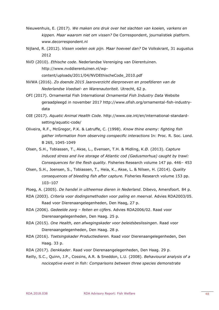- Nieuwenhuis, E. (2017). *We maken ons druk over het slachten van koeien, varkens en kippen. Maar waarom niet om vissen?* De Correspondent, journalistiek platform. [www.decorrespondent.nl](http://www.decorrespondent.nl/)
- Nijland, R. (2012). *Vissen voelen ook pijn. Maar hoeveel dan?* De Volkskrant, 31 augustus 2012
- NVD (2010). *Ethische code*. Nederlandse Vereniging van Dierentuinen. [http://www.nvddierentuinen.nl/wp](http://www.nvddierentuinen.nl/wp-content/uploads/2011/04/NVDEthischeCode_2010.pdf)[content/uploads/2011/04/NVDEthischeCode\\_2010.pdf](http://www.nvddierentuinen.nl/wp-content/uploads/2011/04/NVDEthischeCode_2010.pdf)
- NVWA (2016). *Zo doende 2015 Jaaroverzicht dierproeven en proefdieren van de Nederlandse Voedsel- en Warenautoriteit.* Utrecht, 62 p.
- OFI (2017). Ornamental Fish International *Ornamental Fish Industry Data* Website geraadpleegd in november 2017 http://www.ofish.org/ornamental-fish-industrydata
- OIE (2017). *Aquatic Animal Health Code.* http://www.oie.int/en/international-standardsetting/aquatic-code/
- Oliveira, R.F., McGregor, P.K. & Latruffe, C. (1998). *Know thine enemy: fighting fish gather information from observing conspecific interactions* In: Proc. R. Soc. Lond. B 265, 1045-1049
- Olsen, S.H., Tobiassen, T., Akse, L., Evensen, T.H. & Midling, K.Ø. (2013). *Capture induced stress and live storage of Atlantic cod (Gadusmorhua) caught by trawl: Consequences for the flesh quality.* Fisheries Research volume 147 pp. 446– 453
- Olsen, S.H., Joensen, S., Tobiassen, T., Heia, K., Akse, L. & Nilsen, H. (2014). *Quality consequences of bleeding fish after capture.* Fisheries Research volume 153 pp. 103–107
- Ploeg, A. (2005). *De handel in uitheemse dieren in Nederland*. Dibevo, Amersfoort. 84 p.
- RDA (2003). *Criteria voor dodingsmethoden voor paling en meerval.* Advies RDA2003/05. Raad voor Dierenaangelegenheden, Den Haag, 27 p.
- RDA (2006). *Gedeelde zorg – feiten en cijfers.* Advies RDA2006/02. Raad voor Dierenaangelegenheden, Den Haag. 25 p.
- RDA (2015). *One Health, een afwegingskader voor beleidsbeslissingen*. Raad voor Dierenaangelegenheden, Den Haag. 28 p.
- RDA (2016). *Toetsingskader Productiedieren.* Raad voor Dierenaangelegenheden, Den Haag. 33 p.
- RDA (2017). *Denkkader*. Raad voor Dierenaangelegenheden, Den Haag. 29 p.
- Reilly, S.C., Quinn, J.P., Cossins, A.R. & Sneddon, L.U. (2008). *Behavioural analysis of a nociceptive event in fish: Comparisons between three species demonstrate*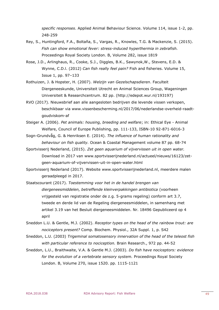*specific responses*. Applied Animal Behaviour Science. Volume 114, issue 1-2, pp. 248-259

- Rey, S., Huntingford, F.A., Boltaña, S., Vargas, R., Knowles, T.G. & Mackenzie, S. (2015). *Fish can show emotional fever: stress-induced hyperthermia in zebrafish.* Proceedings Royal Society London. B, Volume 282, issue 1819
- Rose, J.D., Arlinghaus, R., Cooke, S.J., Diggles, B.K., Sawynok,W., Stevens, E.D. & Wynne, C.D.l. (2012) *Can fish really feel pain?* Fish and fisheries. Volume 15, Issue 1, pp. 97–133
- Rothuizen, J. & Hopster, H. (2007). *Welzijn van Gezelschapsdieren*. Faculteit Diergeneeskunde, Universiteit Utrecht en Animal Sciences Group, Wageningen Universiteit & Researchcentrum. 82 pp. (http://edepot.wur.nl/193197)
- RVO (2017). Nieuwsbrief aan alle aangesloten bedrijven die levende vissen verkopen, beschikbaar via www.vissenbescherming.nl/2017/06/nederlandse-overheid-raadtgoudviskom-af
- Steiger A. (2006). *Pet animals: housing, breeding and welfare*; in: Ethical Eye Animal Welfare, Council of Europe Publishing, pp. 111-133, ISBN-10 92-871-6016-3
- Sogn-Grundvåg, G. & Henriksen E. (2014). *The influence of human rationality and behaviour on fish quality.* Ocean & Coastal Management volume 87 pp. 68-74
- Sportvisserij Nederland, (2015). *Zet geen aquarium of vijvervissen uit in open water.* Download in 2017 van [www.sportvisserijnederland.nl/actueel/nieuws/16123/zet](http://www.sportvisserijnederland.nl/actueel/nieuws/16123/zet-geen-aquarium-of-vijvervissen-uit-in-open-water.html)[geen-aquarium-of-vijvervissen-uit-in-open-water.html](http://www.sportvisserijnederland.nl/actueel/nieuws/16123/zet-geen-aquarium-of-vijvervissen-uit-in-open-water.html)
- Sportvisserij Nederland (2017). Website [www.sportvisserijnederland.nl,](http://www.sportvisserijnederland.nl/) meerdere malen geraadpleegd in 2017.
- Staatscourant (2017). *Toestemming voor het in de handel brengen van diergeneesmiddelen, betreffende kleinverpakkingen antibiotica* (voorheen vrijgesteld van registratie onder de z.g. 5-grams regeling) conform art 3.7, tweede en derde lid van de Regeling diergeneesmiddelen, in samenhang met artikel 3.19 van het Besluit diergeneesmiddelen. Nr. 18496 Gepubliceerd op 4 april
- Sneddon L.U. & Gentle, M.J. (2002). *Receptor types on the head of the rainbow trout: are nociceptors present?* Comp. Biochem. Physiol., 32A Suppl. 1, p. S42
- Sneddon, L.U. (2003) *Trigeminal somatosensory innervation of the head of the teleost fish with particular reference to nociception.* Brain Research., 972 pp. 44-52
- Sneddon, L.U., Braithwaite, V.A. & Gentle M.J. (2003). *Do fish have nociceptors: evidence for the evolution of a vertebrate sensory system.* Proceedings Royal Society London. B, Volume 270, issue 1520. pp. 1115-1121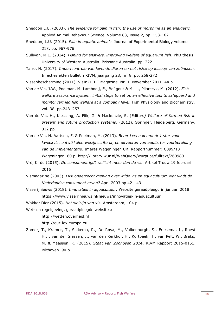- Sneddon L.U. (2003). *The evidence for pain in fish: the use of morphine as an analgesic.*  Applied Animal Behaviour Science, Volume 83, Issue 2, pp. 153-162
- Sneddon, L.U. (2015). *Pain in aquatic animals.* Journal of Experimental Biology volume 218, pp. 967-976
- Sullivan, M.E. (2014). *Fishing for answers, improving welfare of aquarium fish*. PhD thesis University of Western Australia. Brisbane Australia. pp. 222
- Tafro, N. (2017). *Importcontrole van levende dieren en het risico op insleep van zoönosen.* Infectieziekten Bulletin RIVM, jaargang 28, nr. 8. pp. 268-272

Vissenbescherming (2011). VisInZICHT Magazine. Nr. 1, November 2011. 44 p.

- Van de Vis, J.W., Poelman, M. Lambooij, E., Be´gout & M.-L., Pilarczyk, M. (2012). *Fish welfare assurance system: initial steps to set up an effective tool to safeguard and monitor farmed fish welfare at a company level.* Fish Physiology and Biochemistry, vol. 38. pp.243–257
- Van de Vis, H., Kiessling, A. Flik, G. & Mackenzie, S. (Editors*) Welfare of farmed fish in present and future production systems*. (2012), Springer, Heidelberg, Germany, 312 pp.
- Van de Vis, H. Aartsen, F. & Poelman, M. (2013). *Beter Leven kenmerk 1 ster voor kweekvis: ontwikkelen welzijnscriteria, en uitvoeren van audits ter voorbereiding van de implementatie*. Imares Wageningen UR. Rapportnummer: C099/13 Wageningen. 60 p.<http://library.wur.nl/WebQuery/wurpubs/fulltext/260980>
- Vré, K. de (2015). *De consument lijdt wellicht meer dan de vis*. Artikel Trouw 19 februari 2015
- Vismagazine (2003). *LNV onderzocht mening over wilde vis en aquacultuur: Wat vindt de Nederlandse consument ervan?* April 2003 pp 42 - 43
- Visserijnieuws (2018). *Innovaties in aquacultuur.* Website geraadpleegd in januari 2018 <https://www.visserijnieuws.nl/nieuws/innovaties-in-aquacultuur>

Wakker Dier (2015). *Het* w*elzijn van vis.* Amsterdam, 104 p.

Wet- en regelgeving, geraadpleegde websites:

http://wetten.overheid.nl

[http://eur-lex.europa.eu](http://eur-lex.europa.eu/)

Zomer, T., Kramer, T., Sikkema, R., De Rosa, M., Valkenburgh, S., Friesema, I., Roest H.J., van der Giessen, J., van den Kerkhof, H., Kortbeek, T., van Pelt, W., Braks, M. & Maassen, K. (2015). *Staat van Zoönosen 2014*. RIVM Rapport 2015-0151. Bilthoven. 90 p.